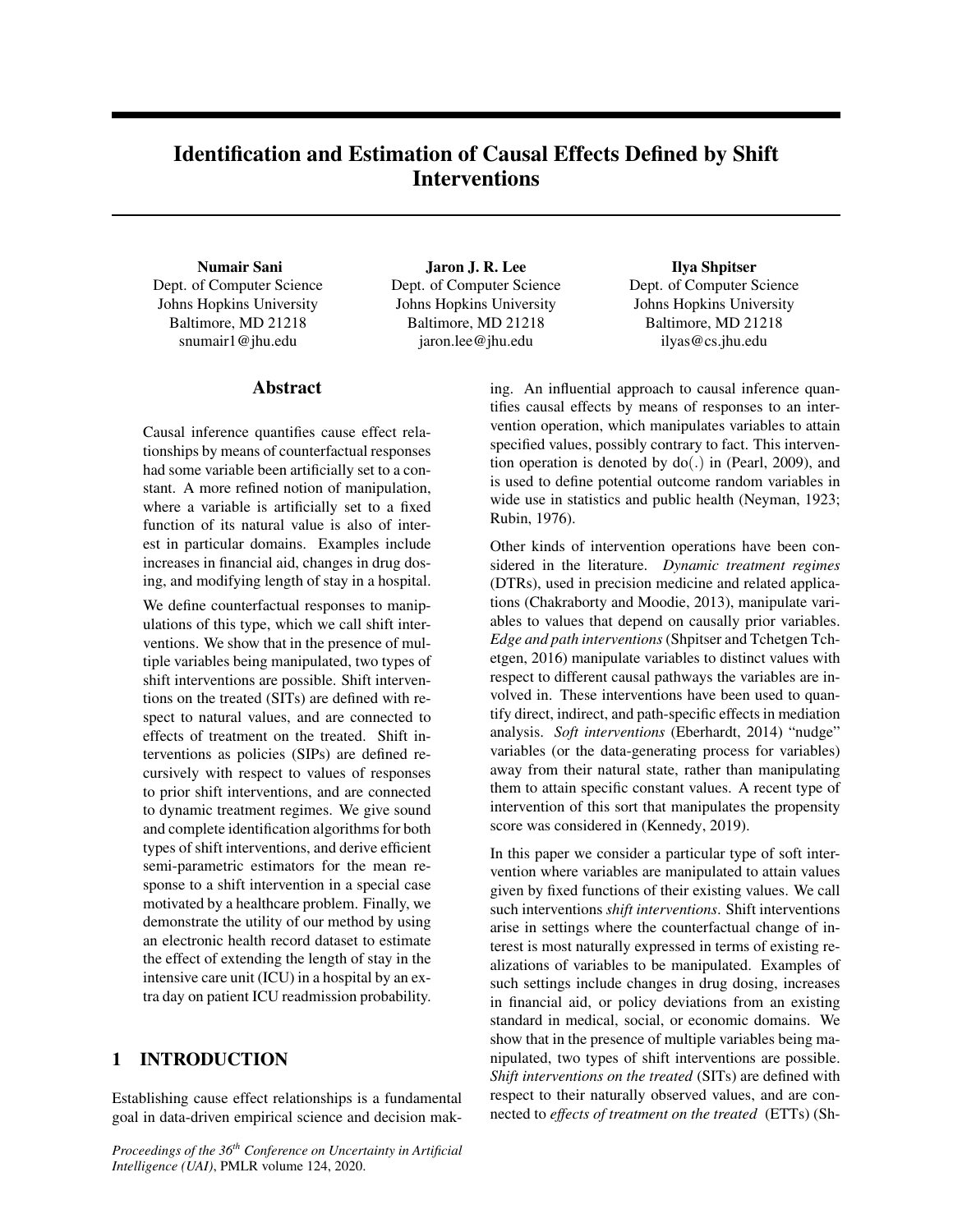# Identification and Estimation of Causal Effects Defined by Shift Interventions

#### Numair Sani

Dept. of Computer Science Johns Hopkins University Baltimore, MD 21218 snumair1@jhu.edu

### Abstract

Causal inference quantifies cause effect relationships by means of counterfactual responses had some variable been artificially set to a constant. A more refined notion of manipulation, where a variable is artificially set to a fixed function of its natural value is also of interest in particular domains. Examples include increases in financial aid, changes in drug dosing, and modifying length of stay in a hospital.

We define counterfactual responses to manipulations of this type, which we call shift interventions. We show that in the presence of multiple variables being manipulated, two types of shift interventions are possible. Shift interventions on the treated (SITs) are defined with respect to natural values, and are connected to effects of treatment on the treated. Shift interventions as policies (SIPs) are defined recursively with respect to values of responses to prior shift interventions, and are connected to dynamic treatment regimes. We give sound and complete identification algorithms for both types of shift interventions, and derive efficient semi-parametric estimators for the mean response to a shift intervention in a special case motivated by a healthcare problem. Finally, we demonstrate the utility of our method by using an electronic health record dataset to estimate the effect of extending the length of stay in the intensive care unit (ICU) in a hospital by an extra day on patient ICU readmission probability.

### 1 INTRODUCTION

Establishing cause effect relationships is a fundamental goal in data-driven empirical science and decision mak-

*Proceedings of the 36th Conference on Uncertainty in Artificial Intelligence (UAI)*, PMLR volume 124, 2020.

Jaron J. R. Lee Dept. of Computer Science Johns Hopkins University Baltimore, MD 21218 jaron.lee@jhu.edu

Ilya Shpitser Dept. of Computer Science Johns Hopkins University Baltimore, MD 21218 ilyas@cs.jhu.edu

ing. An influential approach to causal inference quantifies causal effects by means of responses to an intervention operation, which manipulates variables to attain specified values, possibly contrary to fact. This intervention operation is denoted by do(.) in (Pearl, 2009), and is used to define potential outcome random variables in wide use in statistics and public health (Neyman, 1923; Rubin, 1976).

Other kinds of intervention operations have been considered in the literature. *Dynamic treatment regimes* (DTRs), used in precision medicine and related applications (Chakraborty and Moodie, 2013), manipulate variables to values that depend on causally prior variables. *Edge and path interventions* (Shpitser and Tchetgen Tchetgen, 2016) manipulate variables to distinct values with respect to different causal pathways the variables are involved in. These interventions have been used to quantify direct, indirect, and path-specific effects in mediation analysis. *Soft interventions* (Eberhardt, 2014) "nudge" variables (or the data-generating process for variables) away from their natural state, rather than manipulating them to attain specific constant values. A recent type of intervention of this sort that manipulates the propensity score was considered in (Kennedy, 2019).

In this paper we consider a particular type of soft intervention where variables are manipulated to attain values given by fixed functions of their existing values. We call such interventions *shift interventions*. Shift interventions arise in settings where the counterfactual change of interest is most naturally expressed in terms of existing realizations of variables to be manipulated. Examples of such settings include changes in drug dosing, increases in financial aid, or policy deviations from an existing standard in medical, social, or economic domains. We show that in the presence of multiple variables being manipulated, two types of shift interventions are possible. *Shift interventions on the treated* (SITs) are defined with respect to their naturally observed values, and are connected to *effects of treatment on the treated* (ETTs) (Sh-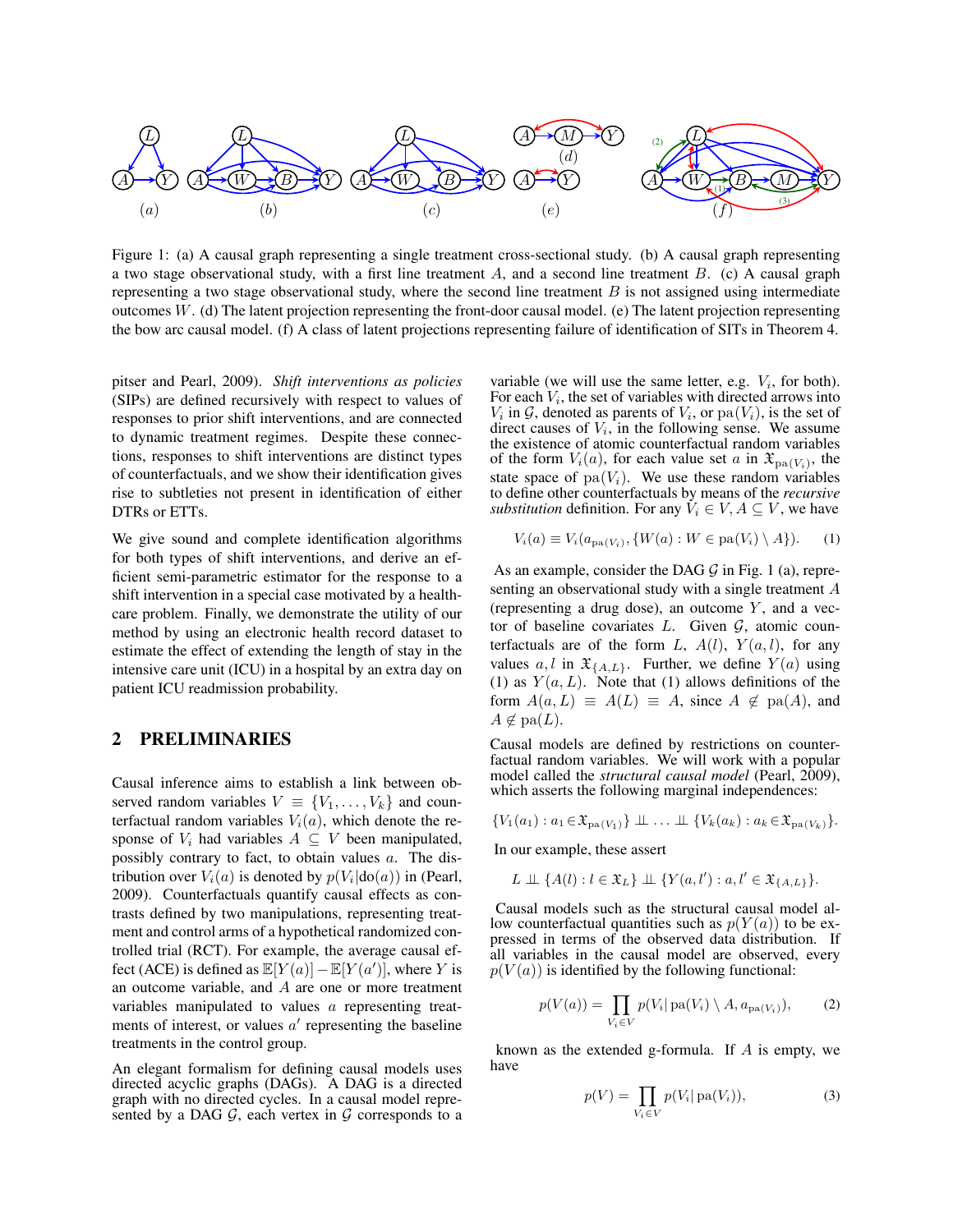

Figure 1: (a) A causal graph representing a single treatment cross-sectional study. (b) A causal graph representing a two stage observational study, with a first line treatment  $A$ , and a second line treatment  $B$ . (c) A causal graph representing a two stage observational study, where the second line treatment  $B$  is not assigned using intermediate outcomes  $W$ . (d) The latent projection representing the front-door causal model. (e) The latent projection representing the bow arc causal model. (f) A class of latent projections representing failure of identification of SITs in Theorem 4.

pitser and Pearl, 2009). *Shift interventions as policies* (SIPs) are defined recursively with respect to values of responses to prior shift interventions, and are connected to dynamic treatment regimes. Despite these connections, responses to shift interventions are distinct types of counterfactuals, and we show their identification gives rise to subtleties not present in identification of either DTRs or ETTs.

We give sound and complete identification algorithms for both types of shift interventions, and derive an efficient semi-parametric estimator for the response to a shift intervention in a special case motivated by a healthcare problem. Finally, we demonstrate the utility of our method by using an electronic health record dataset to estimate the effect of extending the length of stay in the intensive care unit (ICU) in a hospital by an extra day on patient ICU readmission probability.

#### 2 PRELIMINARIES

Causal inference aims to establish a link between observed random variables  $V \equiv \{V_1, \ldots, V_k\}$  and counterfactual random variables  $V_i(a)$ , which denote the response of  $V_i$  had variables  $A \subseteq V$  been manipulated, possibly contrary to fact, to obtain values a. The distribution over  $V_i(a)$  is denoted by  $p(V_i|do(a))$  in (Pearl, 2009). Counterfactuals quantify causal effects as contrasts defined by two manipulations, representing treatment and control arms of a hypothetical randomized controlled trial (RCT). For example, the average causal effect (ACE) is defined as  $\mathbb{E}[Y(a)] - \mathbb{E}[Y(a')]$ , where Y is an outcome variable, and A are one or more treatment variables manipulated to values a representing treatments of interest, or values  $a'$  representing the baseline treatments in the control group.

An elegant formalism for defining causal models uses directed acyclic graphs (DAGs). A DAG is a directed graph with no directed cycles. In a causal model represented by a DAG  $G$ , each vertex in  $G$  corresponds to a

variable (we will use the same letter, e.g.  $V_i$ , for both). For each  $V_i$ , the set of variables with directed arrows into  $V_i$  in  $\mathcal G$ , denoted as parents of  $V_i$ , or  $pa(V_i)$ , is the set of direct causes of  $V_i$ , in the following sense. We assume the existence of atomic counterfactual random variables of the form  $V_i(a)$ , for each value set a in  $\mathfrak{X}_{pa(V_i)}$ , the state space of  $pa(V_i)$ . We use these random variables to define other counterfactuals by means of the *recursive substitution* definition. For any  $V_i \in V$ ,  $A \subseteq V$ , we have

$$
V_i(a) \equiv V_i(a_{\text{pa}(V_i)}, \{W(a) : W \in \text{pa}(V_i) \setminus A\}).\tag{1}
$$

As an example, consider the DAG  $\mathcal G$  in Fig. 1 (a), representing an observational study with a single treatment A (representing a drug dose), an outcome  $Y$ , and a vector of baseline covariates  $L$ . Given  $G$ , atomic counterfactuals are of the form L,  $A(l)$ ,  $Y(a, l)$ , for any values  $a, l$  in  $\mathfrak{X}_{\{A,L\}}$ . Further, we define  $Y(a)$  using (1) as  $Y(a, L)$ . Note that (1) allows definitions of the form  $A(a, L) \equiv A(L) \equiv A$ , since  $A \notin pa(A)$ , and  $A \notin \text{pa}(L)$ .

Causal models are defined by restrictions on counterfactual random variables. We will work with a popular model called the *structural causal model* (Pearl, 2009), which asserts the following marginal independences:

$$
\{V_1(a_1): a_1 \in \mathfrak{X}_{\mathrm{pa}(V_1)}\} \perp \ldots \perp \{V_k(a_k): a_k \in \mathfrak{X}_{\mathrm{pa}(V_k)}\}.
$$

In our example, these assert

$$
L \perp \!\!\!\perp \{A(l) : l \in \mathfrak{X}_L\} \perp \!\!\!\perp \{Y(a, l') : a, l' \in \mathfrak{X}_{\{A, L\}}\}.
$$

Causal models such as the structural causal model allow counterfactual quantities such as  $p(Y(a))$  to be expressed in terms of the observed data distribution. If all variables in the causal model are observed, every  $p(V(a))$  is identified by the following functional:

$$
p(V(a)) = \prod_{V_i \in V} p(V_i | pa(V_i) \setminus A, a_{pa(V_i)}),
$$
 (2)

known as the extended g-formula. If  $A$  is empty, we have

$$
p(V) = \prod_{V_i \in V} p(V_i | pa(V_i)), \tag{3}
$$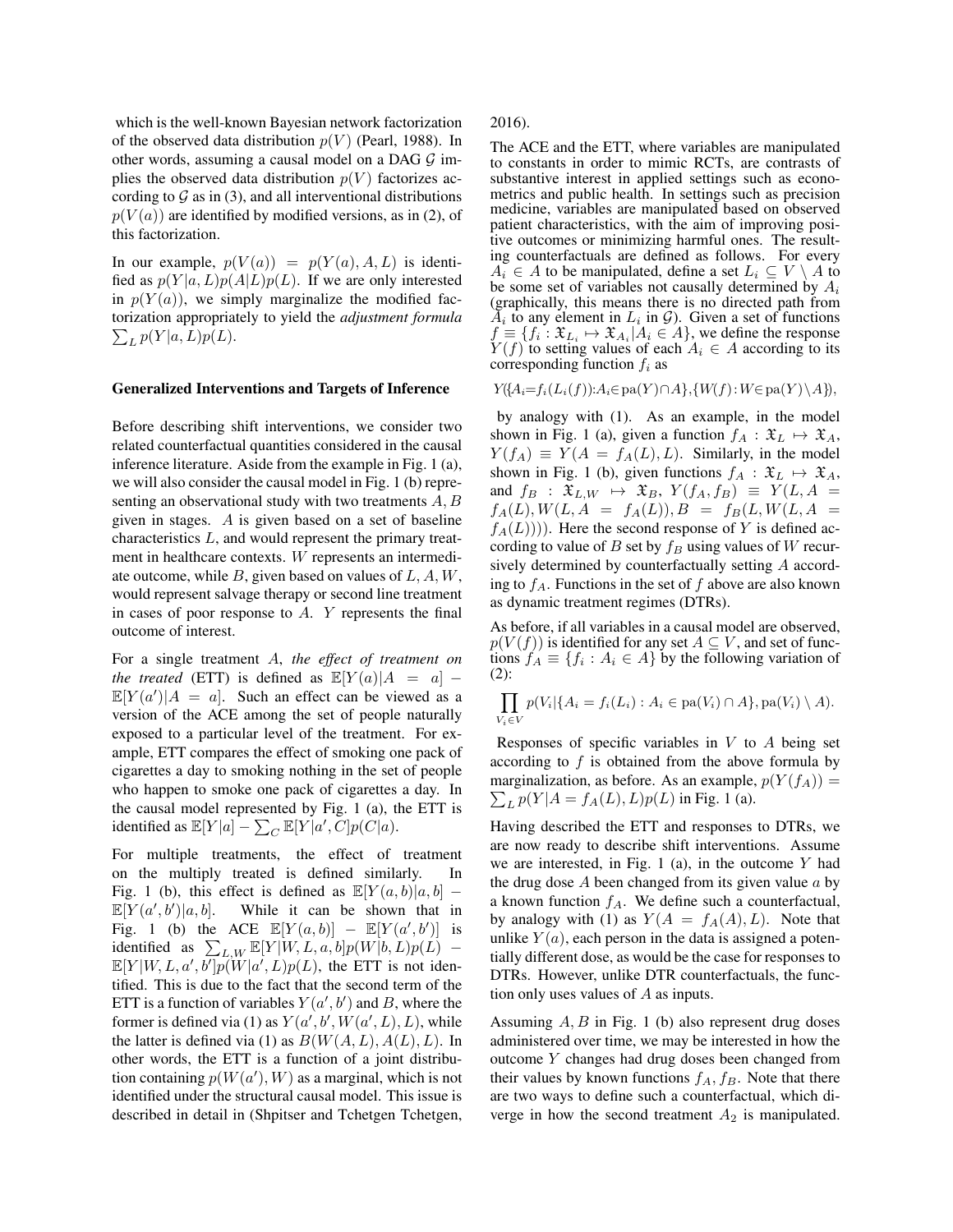which is the well-known Bayesian network factorization of the observed data distribution  $p(V)$  (Pearl, 1988). In other words, assuming a causal model on a DAG  $\mathcal G$  implies the observed data distribution  $p(V)$  factorizes according to  $\mathcal G$  as in (3), and all interventional distributions  $p(V(a))$  are identified by modified versions, as in (2), of this factorization.

In our example,  $p(V(a)) = p(Y(a), A, L)$  is identified as  $p(Y|a, L)p(A|L)p(L)$ . If we are only interested in  $p(Y(a))$ , we simply marginalize the modified factorization appropriately to yield the *adjustment formula*  $\sum_{L} p(Y|a,L)p(L).$ 

#### Generalized Interventions and Targets of Inference

Before describing shift interventions, we consider two related counterfactual quantities considered in the causal inference literature. Aside from the example in Fig. 1 (a), we will also consider the causal model in Fig. 1 (b) representing an observational study with two treatments  $A, B$ given in stages. A is given based on a set of baseline characteristics L, and would represent the primary treatment in healthcare contexts. W represents an intermediate outcome, while  $B$ , given based on values of  $L, A, W$ , would represent salvage therapy or second line treatment in cases of poor response to A. Y represents the final outcome of interest.

For a single treatment A, *the effect of treatment on the treated* (ETT) is defined as  $\mathbb{E}[Y(a)|A = a]$  –  $\mathbb{E}[Y(a')]A = a$ . Such an effect can be viewed as a version of the ACE among the set of people naturally exposed to a particular level of the treatment. For example, ETT compares the effect of smoking one pack of cigarettes a day to smoking nothing in the set of people who happen to smoke one pack of cigarettes a day. In the causal model represented by Fig. 1 (a), the ETT is identified as  $\mathbb{E}[Y|a] - \sum_C \mathbb{E}[Y|a',C]p(C|a)$ .

For multiple treatments, the effect of treatment on the multiply treated is defined similarly. In Fig. 1 (b), this effect is defined as  $\mathbb{E}[Y(a, b)|a, b]$  –  $\mathbb{E}[Y(a',b']$ While it can be shown that in Fig. 1 (b) the ACE  $\mathbb{E}[Y(a,b)] - \mathbb{E}[Y(a',b')]$  is identified as  $\sum_{L,W} \mathbb{E}[Y|W, L, a, b]p(W|b, L)p(L)$  –  $\mathbb{E}[Y|W,L,a',b']p(W|a',L)p(L)$ , the ETT is not identified. This is due to the fact that the second term of the ETT is a function of variables  $Y(a', b')$  and B, where the former is defined via (1) as  $Y(a', b', W(a', L), L)$ , while the latter is defined via (1) as  $B(W(A, L), A(L), L)$ . In other words, the ETT is a function of a joint distribution containing  $p(W(a'), W)$  as a marginal, which is not identified under the structural causal model. This issue is described in detail in (Shpitser and Tchetgen Tchetgen, 2016).

The ACE and the ETT, where variables are manipulated to constants in order to mimic RCTs, are contrasts of substantive interest in applied settings such as econometrics and public health. In settings such as precision medicine, variables are manipulated based on observed patient characteristics, with the aim of improving positive outcomes or minimizing harmful ones. The resulting counterfactuals are defined as follows. For every  $A_i \in A$  to be manipulated, define a set  $L_i \subseteq V \setminus A$  to be some set of variables not causally determined by  $A_i$ (graphically, this means there is no directed path from  $A_i$  to any element in  $L_i$  in  $\mathcal{G}$ ). Given a set of functions  $f \equiv \{f_i : \mathfrak{X}_{L_i} \mapsto \mathfrak{X}_{A_i} | A_i \in A\}$ , we define the response  $Y(f)$  to setting values of each  $A_i \in A$  according to its corresponding function  $f_i$  as

$$
Y(\{A_i = f_i(L_i(f)) : A_i \in pa(Y) \cap A\}, \{W(f) : W \in pa(Y) \setminus A\}),
$$

by analogy with (1). As an example, in the model shown in Fig. 1 (a), given a function  $f_A : \mathfrak{X}_L \mapsto \mathfrak{X}_A$ ,  $Y(f_A) \equiv Y(A = f_A(L), L)$ . Similarly, in the model shown in Fig. 1 (b), given functions  $f_A : \mathfrak{X}_L \mapsto \mathfrak{X}_A$ , and  $f_B$  :  $\mathfrak{X}_{L,W}$   $\mapsto$   $\mathfrak{X}_B$ ,  $Y(f_A, f_B) \equiv Y(L, A =$  $f_A(L), W(L, A = f_A(L)), B = f_B(L, W(L, A =$  $f_A(L))$ ). Here the second response of Y is defined according to value of B set by  $f_B$  using values of W recursively determined by counterfactually setting A according to  $f_A$ . Functions in the set of f above are also known as dynamic treatment regimes (DTRs).

As before, if all variables in a causal model are observed,  $p(V(f))$  is identified for any set  $A \subseteq V$ , and set of functions  $f_A \equiv \{f_i : A_i \in A\}$  by the following variation of (2):

$$
\prod_{V_i \in V} p(V_i | \{ A_i = f_i(L_i) : A_i \in pa(V_i) \cap A \}, pa(V_i) \setminus A).
$$

Responses of specific variables in  $V$  to  $A$  being set according to  $f$  is obtained from the above formula by  $\sum_{L} p(Y|A = f_A(L), L)p(L)$  in Fig. 1 (a). marginalization, as before. As an example,  $p(Y(f_A))$  =

Having described the ETT and responses to DTRs, we are now ready to describe shift interventions. Assume we are interested, in Fig. 1 (a), in the outcome  $Y$  had the drug dose  $A$  been changed from its given value  $a$  by a known function  $f_A$ . We define such a counterfactual, by analogy with (1) as  $Y(A = f_A(A), L)$ . Note that unlike  $Y(a)$ , each person in the data is assigned a potentially different dose, as would be the case for responses to DTRs. However, unlike DTR counterfactuals, the function only uses values of A as inputs.

Assuming  $A, B$  in Fig. 1 (b) also represent drug doses administered over time, we may be interested in how the outcome Y changes had drug doses been changed from their values by known functions  $f_A, f_B$ . Note that there are two ways to define such a counterfactual, which diverge in how the second treatment  $A_2$  is manipulated.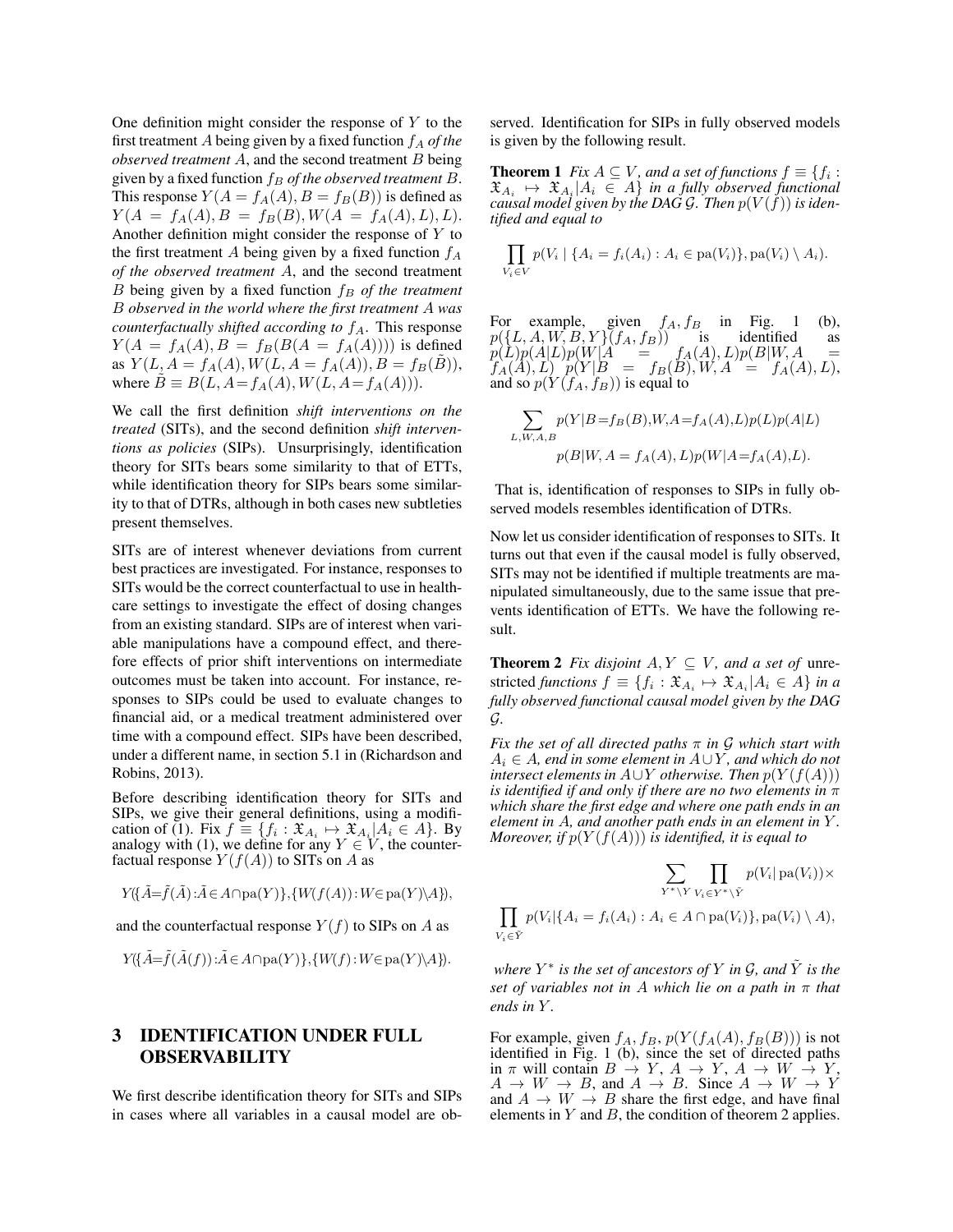One definition might consider the response of  $Y$  to the first treatment  $A$  being given by a fixed function  $f_A$  of the *observed treatment* A, and the second treatment B being given by a fixed function  $f_B$  of the observed treatment B. This response  $Y(A = f_A(A), B = f_B(B))$  is defined as  $Y(A = f_A(A), B = f_B(B), W(A = f_A(A), L), L).$ Another definition might consider the response of Y to the first treatment A being given by a fixed function  $f_A$ *of the observed treatment* A, and the second treatment  $B$  being given by a fixed function  $f_B$  *of the treatment* B *observed in the world where the first treatment* A *was counterfactually shifted according to*  $f_A$ . This response  $Y(A = f_A(A), B = f_B(B(A = f_A(A))))$  is defined as  $Y(L, A = f_A(A), W(L, A = f_A(A)), B = f_B(B)),$ where  $\ddot{B} \equiv B(L, A = f_A(A), W(L, A = f_A(A))).$ 

We call the first definition *shift interventions on the treated* (SITs), and the second definition *shift interventions as policies* (SIPs). Unsurprisingly, identification theory for SITs bears some similarity to that of ETTs, while identification theory for SIPs bears some similarity to that of DTRs, although in both cases new subtleties present themselves.

SITs are of interest whenever deviations from current best practices are investigated. For instance, responses to SITs would be the correct counterfactual to use in healthcare settings to investigate the effect of dosing changes from an existing standard. SIPs are of interest when variable manipulations have a compound effect, and therefore effects of prior shift interventions on intermediate outcomes must be taken into account. For instance, responses to SIPs could be used to evaluate changes to financial aid, or a medical treatment administered over time with a compound effect. SIPs have been described, under a different name, in section 5.1 in (Richardson and Robins, 2013).

Before describing identification theory for SITs and SIPs, we give their general definitions, using a modification of (1). Fix  $f \equiv \{f_i : \mathfrak{X}_{A_i} \mapsto \mathfrak{X}_{A_i} | A_i \in A\}$ . By analogy with (1), we define for any  $Y \in V$ , the counterfactual response  $Y(f(A))$  to SITs on A as

$$
Y(\{\tilde{A} = \tilde{f}(\tilde{A}) : \tilde{A} \in A \cap pa(Y)\}, \{W(f(A)) : W \in pa(Y) \backslash A\}),
$$

and the counterfactual response  $Y(f)$  to SIPs on A as

$$
Y(\{\tilde A = \tilde f(\tilde A(f)) : \tilde A \in A \cap \text{pa}(Y)\}, \{W(f) : W \in \text{pa}(Y) \backslash A\}).
$$

## 3 IDENTIFICATION UNDER FULL **OBSERVABILITY**

We first describe identification theory for SITs and SIPs in cases where all variables in a causal model are observed. Identification for SIPs in fully observed models is given by the following result.

**Theorem 1** *Fix*  $A \subseteq V$ *, and a set of functions*  $f \equiv \{f_i : X \in V \}$  $\mathfrak{X}_{A_i} \mapsto \mathfrak{X}_{A_i} | A_i \in A$  in a fully observed functional *causal model given by the DAG* G*. Then* p(V (f)) *is identified and equal to*

$$
\prod_{V_i \in V} p(V_i \mid \{A_i = f_i(A_i) : A_i \in pa(V_i)\}, pa(V_i) \setminus A_i).
$$

For example, given  $f_A, f_B$  in Fig. 1 (b),  $p(\lbrace L, A, W, B, Y \rbrace)(f_A, f_B)$  is identified as  $p(L)p(A|L)p(W|A) = f_A(A), L)p(B|W, A) =$  $f_A(A), L$   $p(Y|B = f_B(B), W, A = f_A(A), L)$ ,<br>and so  $p(Y(f_A, f_B))$  is equal to

$$
\sum_{L,W,A,B} p(Y|B=f_B(B), W, A=f_A(A), L)p(L)p(A|L)
$$
  

$$
p(B|W, A=f_A(A), L)p(W|A=f_A(A), L).
$$

That is, identification of responses to SIPs in fully observed models resembles identification of DTRs.

Now let us consider identification of responses to SITs. It turns out that even if the causal model is fully observed, SITs may not be identified if multiple treatments are manipulated simultaneously, due to the same issue that prevents identification of ETTs. We have the following result.

**Theorem 2** *Fix disjoint*  $A, Y \subseteq V$ *, and a set of unre*stricted *functions*  $f \equiv \{f_i : \mathfrak{X}_{A_i} \mapsto \mathfrak{X}_{A_i} | A_i \in A\}$  *in a fully observed functional causal model given by the DAG* G*.*

*Fix the set of all directed paths* π *in* G *which start with* A<sup>i</sup> ∈ A*, end in some element in* A∪Y *, and which do not intersect elements in*  $A \cup Y$  *otherwise. Then*  $p(Y(f(A)))$ *is identified if and only if there are no two elements in* π *which share the first edge and where one path ends in an element in* A*, and another path ends in an element in* Y *. Moreover, if*  $p(Y(f(A)))$  *is identified, it is equal to* 

$$
\sum_{Y^* \backslash Y} \prod_{V_i \in Y^* \backslash \tilde{Y}} p(V_i | \text{pa}(V_i)) \times \prod_{V_i \in \tilde{Y}} p(V_i | \text{pa}(V_i)) \times \prod_{V_i \in \tilde{Y}} p(V_i | \{A_i = f_i(A_i) : A_i \in A \cap \text{pa}(V_i)\}, \text{pa}(V_i) \setminus A),
$$

*where*  $Y^*$  *is the set of ancestors of*  $Y$  *in*  $\mathcal{G}$ *, and*  $\tilde{Y}$  *is the set of variables not in* A *which lie on a path in* π *that*  $ends$  *in*  $Y$ .

For example, given  $f_A$ ,  $f_B$ ,  $p(Y(f_A(A), f_B(B)))$  is not identified in Fig. 1 (b), since the set of directed paths in  $\pi$  will contain  $B \to Y$ ,  $A \to Y$ ,  $A \to W \to Y$ ,  $A \to W \to B$ , and  $A \to B$ . Since  $A \to W \to Y$ and  $A \rightarrow W \rightarrow B$  share the first edge, and have final elements in  $Y$  and  $B$ , the condition of theorem 2 applies.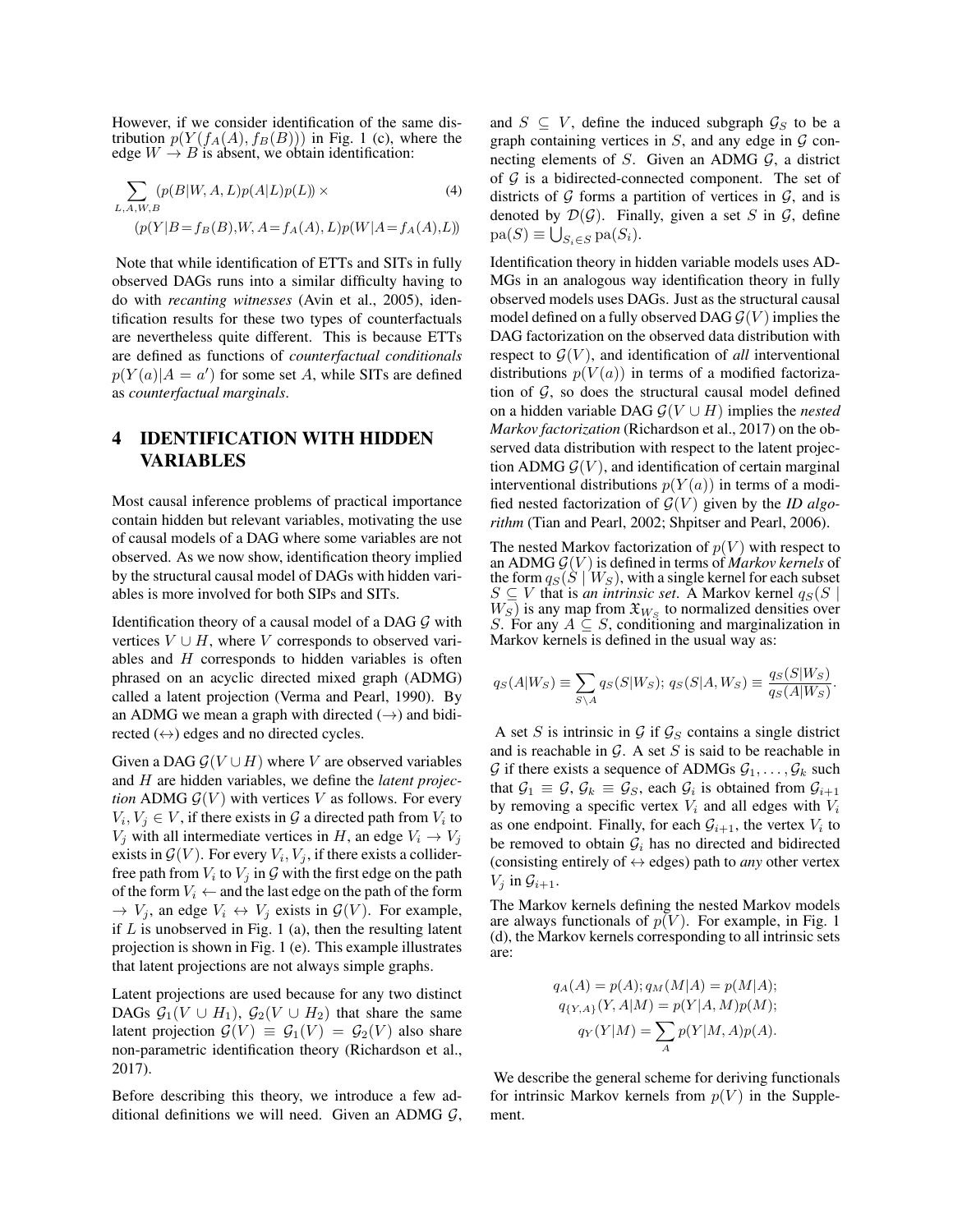However, if we consider identification of the same distribution  $p(Y(f_A(A), f_B(B)))$  in Fig. 1 (c), where the edge  $W \rightarrow B$  is absent, we obtain identification:

$$
\sum_{L,A,W,B} (p(B|W,A,L)p(A|L)p(L)) \times \tag{4}
$$

$$
(p(Y|B = f_B(B), W, A = f_A(A), L)p(W|A = f_A(A), L))
$$

Note that while identification of ETTs and SITs in fully observed DAGs runs into a similar difficulty having to do with *recanting witnesses* (Avin et al., 2005), identification results for these two types of counterfactuals are nevertheless quite different. This is because ETTs are defined as functions of *counterfactual conditionals*  $p(Y(a)|A = a')$  for some set A, while SITs are defined as *counterfactual marginals*.

# 4 IDENTIFICATION WITH HIDDEN VARIABLES

Most causal inference problems of practical importance contain hidden but relevant variables, motivating the use of causal models of a DAG where some variables are not observed. As we now show, identification theory implied by the structural causal model of DAGs with hidden variables is more involved for both SIPs and SITs.

Identification theory of a causal model of a DAG  $G$  with vertices  $V \cup H$ , where V corresponds to observed variables and  $H$  corresponds to hidden variables is often phrased on an acyclic directed mixed graph (ADMG) called a latent projection (Verma and Pearl, 1990). By an ADMG we mean a graph with directed  $(\rightarrow)$  and bidirected  $(\leftrightarrow)$  edges and no directed cycles.

Given a DAG  $G(V \cup H)$  where V are observed variables and H are hidden variables, we define the *latent projection* ADMG  $G(V)$  with vertices V as follows. For every  $V_i, V_j \in V$ , if there exists in  $\mathcal G$  a directed path from  $V_i$  to  $V_j$  with all intermediate vertices in H, an edge  $V_i \rightarrow V_j$ exists in  $\mathcal{G}(V)$ . For every  $V_i, V_j$ , if there exists a colliderfree path from  $V_i$  to  $V_j$  in  $\mathcal G$  with the first edge on the path of the form  $V_i \leftarrow$  and the last edge on the path of the form  $\rightarrow V_j$ , an edge  $V_i \leftrightarrow V_j$  exists in  $\mathcal{G}(V)$ . For example, if  $L$  is unobserved in Fig. 1 (a), then the resulting latent projection is shown in Fig. 1 (e). This example illustrates that latent projections are not always simple graphs.

Latent projections are used because for any two distinct DAGs  $G_1(V \cup H_1)$ ,  $G_2(V \cup H_2)$  that share the same latent projection  $\mathcal{G}(V) \equiv \mathcal{G}_1(V) = \mathcal{G}_2(V)$  also share non-parametric identification theory (Richardson et al., 2017).

Before describing this theory, we introduce a few additional definitions we will need. Given an ADMG  $G$ , and  $S \subseteq V$ , define the induced subgraph  $\mathcal{G}_S$  to be a graph containing vertices in  $S$ , and any edge in  $G$  connecting elements of S. Given an ADMG  $\mathcal{G}$ , a district of  $G$  is a bidirected-connected component. The set of districts of  $G$  forms a partition of vertices in  $G$ , and is denoted by  $\mathcal{D}(\mathcal{G})$ . Finally, given a set S in  $\mathcal{G}$ , define  $pa(S) \equiv \bigcup_{S_i \in S} pa(S_i).$ 

Identification theory in hidden variable models uses AD-MGs in an analogous way identification theory in fully observed models uses DAGs. Just as the structural causal model defined on a fully observed DAG  $\mathcal{G}(V)$  implies the DAG factorization on the observed data distribution with respect to  $\mathcal{G}(V)$ , and identification of *all* interventional distributions  $p(V(a))$  in terms of a modified factorization of  $G$ , so does the structural causal model defined on a hidden variable DAG  $\mathcal{G}(V \cup H)$  implies the *nested Markov factorization* (Richardson et al., 2017) on the observed data distribution with respect to the latent projection ADMG  $\mathcal{G}(V)$ , and identification of certain marginal interventional distributions  $p(Y(a))$  in terms of a modified nested factorization of  $\mathcal{G}(V)$  given by the *ID algorithm* (Tian and Pearl, 2002; Shpitser and Pearl, 2006).

The nested Markov factorization of  $p(V)$  with respect to an ADMG  $G(V)$  is defined in terms of *Markov kernels* of the form  $q_S(\dot{S} | W_S)$ , with a single kernel for each subset  $S \subseteq V$  that is *an intrinsic set*. A Markov kernel  $q_S(S)$  $W_S$ ) is any map from  $\mathfrak{X}_{W_S}$  to normalized densities over S. For any  $A \subseteq S$ , conditioning and marginalization in Markov kernels is defined in the usual way as:

$$
q_S(A|W_S) \equiv \sum_{S \backslash A} q_S(S|W_S); \ q_S(S|A, W_S) \equiv \frac{q_S(S|W_S)}{q_S(A|W_S)}.
$$

A set S is intrinsic in G if  $\mathcal{G}_S$  contains a single district and is reachable in  $G$ . A set  $S$  is said to be reachable in  $G$  if there exists a sequence of ADMGs  $G_1, \ldots, G_k$  such that  $G_1 \equiv G$ ,  $G_k \equiv G_s$ , each  $G_i$  is obtained from  $G_{i+1}$ by removing a specific vertex  $V_i$  and all edges with  $V_i$ as one endpoint. Finally, for each  $G_{i+1}$ , the vertex  $V_i$  to be removed to obtain  $\mathcal{G}_i$  has no directed and bidirected (consisting entirely of  $\leftrightarrow$  edges) path to *any* other vertex  $V_i$  in  $\mathcal{G}_{i+1}$ .

The Markov kernels defining the nested Markov models are always functionals of  $p(V)$ . For example, in Fig. 1 (d), the Markov kernels corresponding to all intrinsic sets are:

$$
q_A(A) = p(A); q_M(M|A) = p(M|A);
$$
  
\n
$$
q_{\{Y,A\}}(Y, A|M) = p(Y|A, M)p(M);
$$
  
\n
$$
q_Y(Y|M) = \sum_A p(Y|M, A)p(A).
$$

We describe the general scheme for deriving functionals for intrinsic Markov kernels from  $p(V)$  in the Supplement.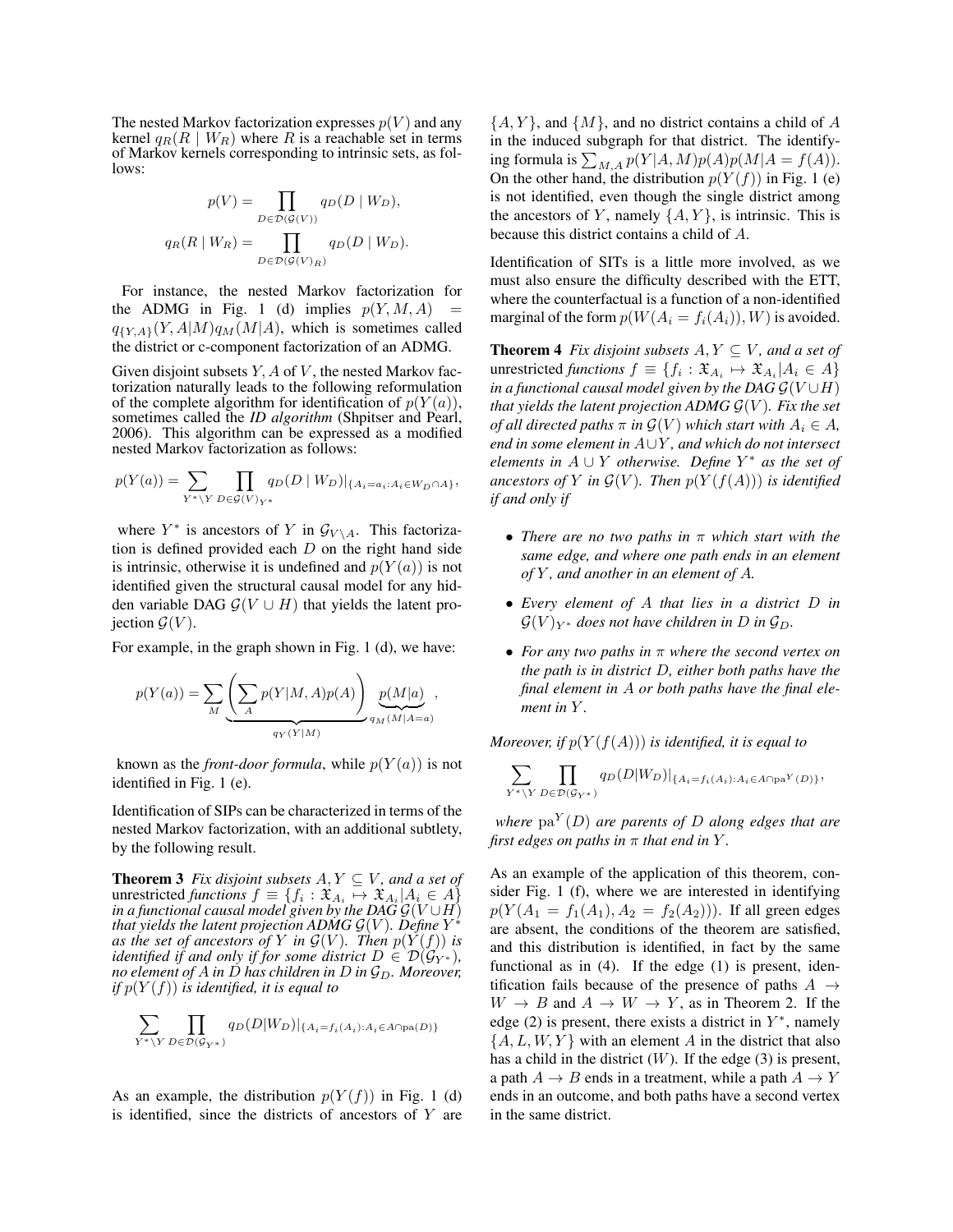The nested Markov factorization expresses  $p(V)$  and any kernel  $q_R(R \mid W_R)$  where R is a reachable set in terms of Markov kernels corresponding to intrinsic sets, as follows:

$$
p(V) = \prod_{D \in \mathcal{D}(\mathcal{G}(V))} q_D(D \mid W_D),
$$

$$
q_R(R \mid W_R) = \prod_{D \in \mathcal{D}(\mathcal{G}(V)_R)} q_D(D \mid W_D).
$$

For instance, the nested Markov factorization for the ADMG in Fig. 1 (d) implies  $p(Y, M, A)$  $q_{\{Y,A\}}(Y,A|M)q_M(M|A)$ , which is sometimes called the district or c-component factorization of an ADMG.

Given disjoint subsets  $Y$ ,  $A$  of  $V$ , the nested Markov factorization naturally leads to the following reformulation of the complete algorithm for identification of  $p(Y(a))$ , sometimes called the *ID algorithm* (Shpitser and Pearl, 2006). This algorithm can be expressed as a modified nested Markov factorization as follows:

$$
p(Y(a)) = \sum_{Y^* \backslash Y} \prod_{D \in \mathcal{G}(V)_{Y^*}} q_D(D \mid W_D)|_{\{A_i = a_i : A_i \in W_D \cap A\}},
$$

where  $Y^*$  is ancestors of Y in  $\mathcal{G}_{V \setminus A}$ . This factorization is defined provided each  $D$  on the right hand side is intrinsic, otherwise it is undefined and  $p(Y(a))$  is not identified given the structural causal model for any hidden variable DAG  $G(V \cup H)$  that yields the latent projection  $\mathcal{G}(V)$ .

For example, in the graph shown in Fig. 1 (d), we have:

$$
p(Y(a)) = \sum_{M} \underbrace{\left(\sum_{A} p(Y|M,A)p(A)\right)}_{q_Y(Y|M)} \underbrace{p(M|a)}_{q_M(M|A=a)},
$$

known as the *front-door formula*, while  $p(Y(a))$  is not identified in Fig. 1 (e).

Identification of SIPs can be characterized in terms of the nested Markov factorization, with an additional subtlety, by the following result.

**Theorem 3** *Fix disjoint subsets*  $A, Y \subseteq V$ *, and a set of* unrestricted *functions*  $f \equiv \{f_i : \mathfrak{X}_{A_i} \mapsto \mathfrak{X}_{A_i} | A_i \in A\}$ *in a functional causal model given by the DAG*  $\mathcal{G}(V \cup H)$ *that yields the latent projection ADMG*  $\mathcal{G}(V)$ *. Define*  $Y^*$ *as the set of ancestors of* Y *in*  $\mathcal{G}(V)$ *. Then*  $p(Y(f))$  *is identified if and only if for some district*  $D \in \mathcal{D}(\mathcal{G}_{Y^*})$ *, no element of* A *in* D *has children in* D *in*  $\mathcal{G}_D$ *. Moreover, if*  $p(Y(f))$  *is identified, it is equal to* 

$$
\sum_{Y^* \backslash Y} \prod_{D \in \mathcal{D}(\mathcal{G}_{Y^*})} q_D(D|W_D)|_{\{A_i = f_i(A_i): A_i \in A \cap \text{pa}(D)\}}
$$

As an example, the distribution  $p(Y(f))$  in Fig. 1 (d) is identified, since the districts of ancestors of  $Y$  are  ${A, Y}$ , and  ${M}$ , and no district contains a child of A in the induced subgraph for that district. The identifying formula is  $\sum_{M,A} p(Y|A, M)p(A)p(M|A = f(A)).$ On the other hand, the distribution  $p(Y(f))$  in Fig. 1 (e) is not identified, even though the single district among the ancestors of Y, namely  $\{A, Y\}$ , is intrinsic. This is because this district contains a child of A.

Identification of SITs is a little more involved, as we must also ensure the difficulty described with the ETT, where the counterfactual is a function of a non-identified marginal of the form  $p(W(A_i = f_i(A_i)), W)$  is avoided.

**Theorem 4** *Fix disjoint subsets*  $A, Y \subseteq V$ *, and a set of* unrestricted *functions*  $f \equiv \{f_i : \mathfrak{X}_{A_i} \mapsto \mathfrak{X}_{A_i} | A_i \in A\}$ *in a functional causal model given by the DAG*  $\mathcal{G}(V \cup H)$ *that yields the latent projection ADMG*  $\mathcal{G}(V)$ *. Fix the set of all directed paths*  $\pi$  *in*  $\mathcal{G}(V)$  *which start with*  $A_i \in A$ *, end in some element in* A∪Y *, and which do not intersect elements in* A ∪ Y *otherwise. Define* Y <sup>∗</sup> *as the set of ancestors of* Y *in*  $\mathcal{G}(V)$ *. Then*  $p(Y(f(A)))$  *is identified if and only if*

- *There are no two paths in* π *which start with the same edge, and where one path ends in an element of* Y *, and another in an element of* A*.*
- *Every element of* A *that lies in a district* D *in*  $\mathcal{G}(V)_{Y^*}$  does not have children in D in  $\mathcal{G}_D$ .
- *For any two paths in* π *where the second vertex on the path is in district* D*, either both paths have the final element in* A *or both paths have the final element in* Y.

*Moreover, if*  $p(Y(f(A)))$  *is identified, it is equal to* 

$$
\sum_{Y^* \backslash Y} \prod_{D \in \mathcal{D}(\mathcal{G}_{Y^*})} q_D(D|W_D)|_{\{A_i = f_i(A_i): A_i \in A \cap \text{pa}^Y(D)\}},
$$

*where* pa<sup>Y</sup> (D) *are parents of* D *along edges that are first edges on paths in*  $\pi$  *that end in*  $Y$ *.* 

As an example of the application of this theorem, consider Fig. 1 (f), where we are interested in identifying  $p(Y(A_1 = f_1(A_1), A_2 = f_2(A_2)))$ . If all green edges are absent, the conditions of the theorem are satisfied, and this distribution is identified, in fact by the same functional as in (4). If the edge (1) is present, identification fails because of the presence of paths  $A \rightarrow$  $W \rightarrow B$  and  $A \rightarrow W \rightarrow Y$ , as in Theorem 2. If the edge (2) is present, there exists a district in  $Y^*$ , namely  $\{A, L, W, Y\}$  with an element A in the district that also has a child in the district  $(W)$ . If the edge (3) is present, a path  $A \rightarrow B$  ends in a treatment, while a path  $A \rightarrow Y$ ends in an outcome, and both paths have a second vertex in the same district.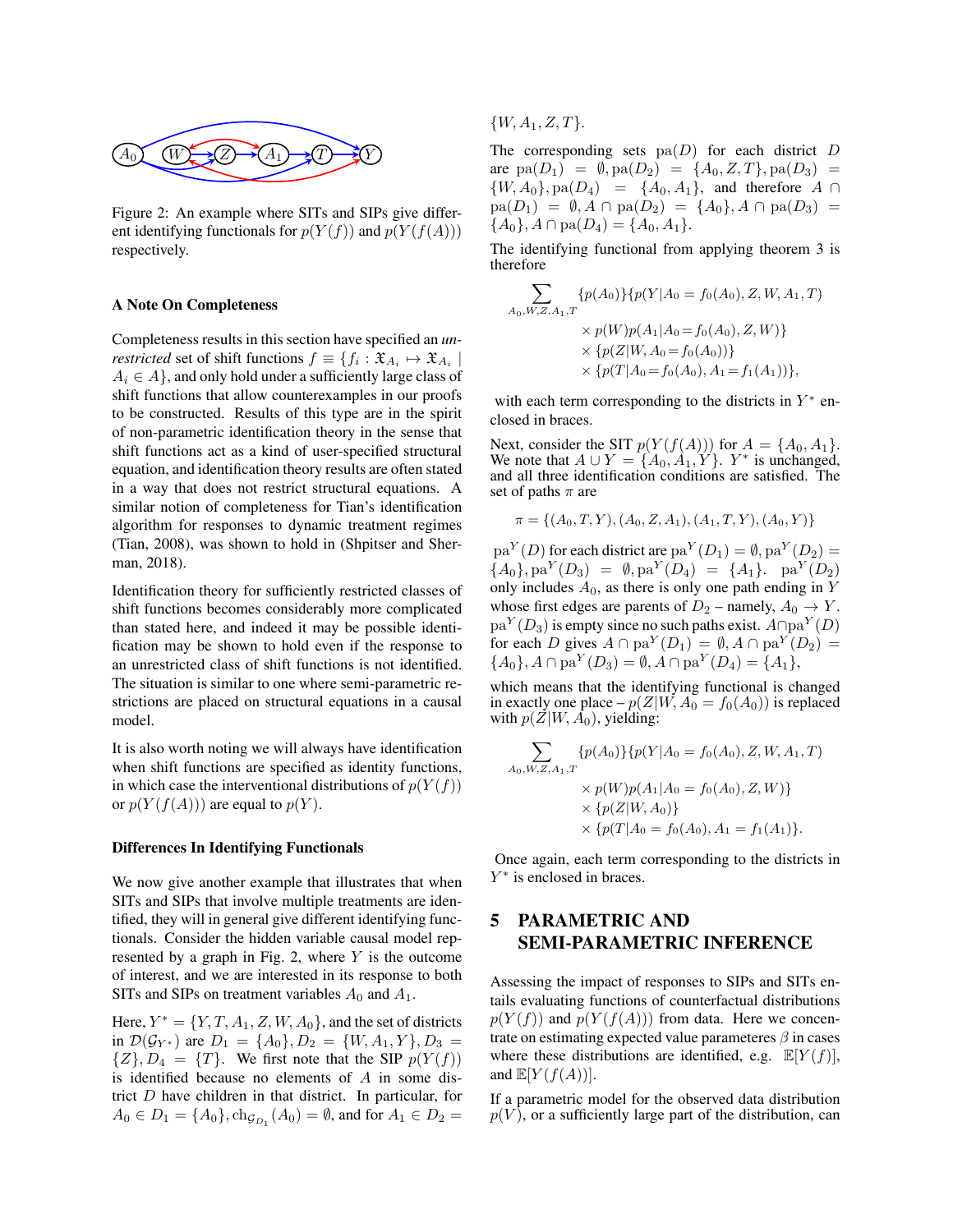

Figure 2: An example where SITs and SIPs give different identifying functionals for  $p(Y(f))$  and  $p(Y(f(A)))$ respectively.

#### A Note On Completeness

Completeness results in this section have specified an *unrestricted* set of shift functions  $f \equiv \{f_i : \mathfrak{X}_{A_i} \mapsto \mathfrak{X}_{A_i} \mid$  $A_i \in A$ , and only hold under a sufficiently large class of shift functions that allow counterexamples in our proofs to be constructed. Results of this type are in the spirit of non-parametric identification theory in the sense that shift functions act as a kind of user-specified structural equation, and identification theory results are often stated in a way that does not restrict structural equations. A similar notion of completeness for Tian's identification algorithm for responses to dynamic treatment regimes (Tian, 2008), was shown to hold in (Shpitser and Sherman, 2018).

Identification theory for sufficiently restricted classes of shift functions becomes considerably more complicated than stated here, and indeed it may be possible identification may be shown to hold even if the response to an unrestricted class of shift functions is not identified. The situation is similar to one where semi-parametric restrictions are placed on structural equations in a causal model.

It is also worth noting we will always have identification when shift functions are specified as identity functions, in which case the interventional distributions of  $p(Y(f))$ or  $p(Y(f(A)))$  are equal to  $p(Y)$ .

#### Differences In Identifying Functionals

We now give another example that illustrates that when SITs and SIPs that involve multiple treatments are identified, they will in general give different identifying functionals. Consider the hidden variable causal model represented by a graph in Fig. 2, where  $Y$  is the outcome of interest, and we are interested in its response to both SITs and SIPs on treatment variables  $A_0$  and  $A_1$ .

Here,  $Y^* = \{Y, T, A_1, Z, W, A_0\}$ , and the set of districts in  $\mathcal{D}(\mathcal{G}_{Y^*})$  are  $D_1 = \{A_0\}, D_2 = \{W, A_1, Y\}, D_3 =$  $\{Z\}, D_4 = \{T\}.$  We first note that the SIP  $p(Y(f))$ is identified because no elements of A in some district D have children in that district. In particular, for  $A_0 \in D_1 = \{A_0\}, \text{ch}_{\mathcal{G}_{D_1}}(A_0) = \emptyset$ , and for  $A_1 \in D_2 =$ 

 $\{W, A_1, Z, T\}.$ 

The corresponding sets  $pa(D)$  for each district D are  $pa(D_1) = \emptyset$ ,  $pa(D_2) = \{A_0, Z, T\}$ ,  $pa(D_3) =$  $\{W, A_0\}$ , pa $(D_4)$  =  $\{A_0, A_1\}$ , and therefore  $A \cap$  $pa(D_1) = \emptyset$ ,  $A \cap pa(D_2) = \{A_0\}$ ,  $A \cap pa(D_3) =$  ${A_0}, A \cap pa(D_4) = {A_0, A_1}.$ 

The identifying functional from applying theorem 3 is therefore

$$
\sum_{A_0, W, Z, A_1, T} \{p(A_0)\} \{p(Y|A_0 = f_0(A_0), Z, W, A_1, T) \times p(W)p(A_1|A_0 = f_0(A_0), Z, W)\} \times \{p(Z|W, A_0 = f_0(A_0))\} \times \{p(T|A_0 = f_0(A_0), A_1 = f_1(A_1))\},\
$$

with each term corresponding to the districts in  $Y^*$  enclosed in braces.

Next, consider the SIT  $p(Y(f(A)))$  for  $A = \{A_0, A_1\}$ . We note that  $A \cup Y = \{A_0, A_1, Y\}$ .  $Y^*$  is unchanged, and all three identification conditions are satisfied. The set of paths  $\pi$  are

$$
\pi = \{(A_0, T, Y), (A_0, Z, A_1), (A_1, T, Y), (A_0, Y)\}
$$

 $p a^{Y}(D)$  for each district are  $p a^{Y}(D_1) = \emptyset$ ,  $p a^{Y}(D_2) =$  ${A_0}, \text{pa}^Y(D_3) = \emptyset, \text{pa}^Y(D_4) = {A_1}. \text{pa}^Y(D_2)$ only includes  $A_0$ , as there is only one path ending in Y whose first edges are parents of  $D_2$  – namely,  $A_0 \rightarrow Y$ .  $pa^Y(D_3)$  is empty since no such paths exist.  $A \cap pa^Y(D)$ for each D gives  $A \cap pa^Y(D_1) = \emptyset$ ,  $A \cap pa^Y(D_2) =$  ${A_0}, A \cap \text{pa}^Y(D_3) = \emptyset, A \cap \text{pa}^Y(D_4) = {A_1},$ 

which means that the identifying functional is changed in exactly one place –  $p(Z|W, A_0 = f_0(A_0))$  is replaced with  $p(Z|W, \bar{A_0})$ , yielding:

$$
\sum_{A_0, W, Z, A_1, T} \{p(A_0)\} \{p(Y|A_0 = f_0(A_0), Z, W, A_1, T) \times p(W)p(A_1|A_0 = f_0(A_0), Z, W)\} \times \{p(Z|W, A_0)\} \times \{p(T|A_0 = f_0(A_0), A_1 = f_1(A_1)\}.
$$

Once again, each term corresponding to the districts in Y ∗ is enclosed in braces.

### 5 PARAMETRIC AND SEMI-PARAMETRIC INFERENCE

Assessing the impact of responses to SIPs and SITs entails evaluating functions of counterfactual distributions  $p(Y(f))$  and  $p(Y(f(A)))$  from data. Here we concentrate on estimating expected value parameteres  $\beta$  in cases where these distributions are identified, e.g.  $\mathbb{E}[Y(f)],$ and  $\mathbb{E}[Y(f(A))].$ 

If a parametric model for the observed data distribution  $p(V)$ , or a sufficiently large part of the distribution, can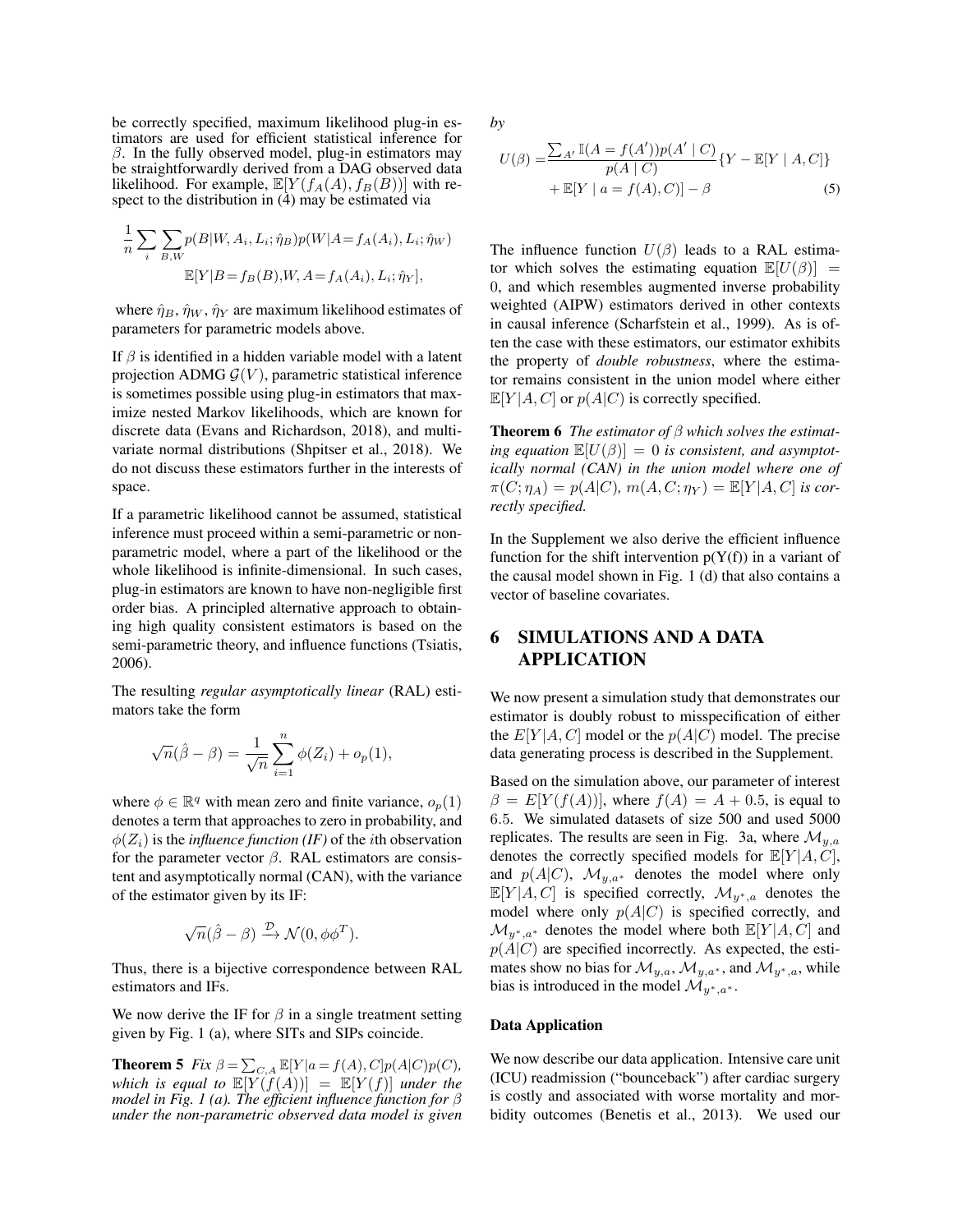be correctly specified, maximum likelihood plug-in estimators are used for efficient statistical inference for  $\beta$ . In the fully observed model, plug-in estimators may be straightforwardly derived from a DAG observed data likelihood. For example,  $\mathbb{E}[Y(f_A(A), f_B(B))]$  with respect to the distribution in (4) may be estimated via

$$
\frac{1}{n} \sum_{i} \sum_{B,W} p(B|W, A_i, L_i; \hat{\eta}_B) p(W|A = f_A(A_i), L_i; \hat{\eta}_W)
$$

$$
\mathbb{E}[Y|B = f_B(B), W, A = f_A(A_i), L_i; \hat{\eta}_Y],
$$

where  $\hat{\eta}_B$ ,  $\hat{\eta}_W$ ,  $\hat{\eta}_Y$  are maximum likelihood estimates of parameters for parametric models above.

If  $\beta$  is identified in a hidden variable model with a latent projection ADMG  $G(V)$ , parametric statistical inference is sometimes possible using plug-in estimators that maximize nested Markov likelihoods, which are known for discrete data (Evans and Richardson, 2018), and multivariate normal distributions (Shpitser et al., 2018). We do not discuss these estimators further in the interests of space.

If a parametric likelihood cannot be assumed, statistical inference must proceed within a semi-parametric or nonparametric model, where a part of the likelihood or the whole likelihood is infinite-dimensional. In such cases, plug-in estimators are known to have non-negligible first order bias. A principled alternative approach to obtaining high quality consistent estimators is based on the semi-parametric theory, and influence functions (Tsiatis, 2006).

The resulting *regular asymptotically linear* (RAL) estimators take the form

$$
\sqrt{n}(\hat{\beta} - \beta) = \frac{1}{\sqrt{n}} \sum_{i=1}^{n} \phi(Z_i) + o_p(1),
$$

where  $\phi \in \mathbb{R}^q$  with mean zero and finite variance,  $o_p(1)$ denotes a term that approaches to zero in probability, and  $\phi(Z_i)$  is the *influence function (IF)* of the *i*th observation for the parameter vector  $\beta$ . RAL estimators are consistent and asymptotically normal (CAN), with the variance of the estimator given by its IF:

$$
\sqrt{n}(\hat{\beta} - \beta) \xrightarrow{\mathcal{D}} \mathcal{N}(0, \phi \phi^T).
$$

Thus, there is a bijective correspondence between RAL estimators and IFs.

We now derive the IF for  $\beta$  in a single treatment setting given by Fig. 1 (a), where SITs and SIPs coincide.

**Theorem 5** *Fix*  $\beta = \sum_{C,A} \mathbb{E}[Y|a = f(A), C]p(A|C)p(C)$ *,* which is equal to  $\mathbb{E}[Y(\hat{f}(A))] = \mathbb{E}[Y(f)]$  *under the model in Fig. 1 (a). The efficient influence function for* β *under the non-parametric observed data model is given* *by*

$$
U(\beta) = \frac{\sum_{A'} \mathbb{I}(A = f(A'))p(A' | C)}{p(A | C)} \{Y - \mathbb{E}[Y | A, C]\} + \mathbb{E}[Y | a = f(A), C]\} - \beta
$$
\n(5)

The influence function  $U(\beta)$  leads to a RAL estimator which solves the estimating equation  $\mathbb{E}[U(\beta)] =$ 0, and which resembles augmented inverse probability weighted (AIPW) estimators derived in other contexts in causal inference (Scharfstein et al., 1999). As is often the case with these estimators, our estimator exhibits the property of *double robustness*, where the estimator remains consistent in the union model where either  $\mathbb{E}[Y|A,C]$  or  $p(A|C)$  is correctly specified.

Theorem 6 *The estimator of* β *which solves the estimat*ing equation  $\mathbb{E}[U(\beta)] = 0$  is consistent, and asymptot*ically normal (CAN) in the union model where one of*  $\pi(C; \eta_A) = p(A|C), m(A, C; \eta_Y) = \mathbb{E}[Y|A, C]$  *is correctly specified.*

In the Supplement we also derive the efficient influence function for the shift intervention  $p(Y(f))$  in a variant of the causal model shown in Fig. 1 (d) that also contains a vector of baseline covariates.

### 6 SIMULATIONS AND A DATA APPLICATION

We now present a simulation study that demonstrates our estimator is doubly robust to misspecification of either the  $E[Y|A, C]$  model or the  $p(A|C)$  model. The precise data generating process is described in the Supplement.

Based on the simulation above, our parameter of interest  $\beta = E[Y(f(A))]$ , where  $f(A) = A + 0.5$ , is equal to 6.5. We simulated datasets of size 500 and used 5000 replicates. The results are seen in Fig. 3a, where  $\mathcal{M}_{y,a}$ denotes the correctly specified models for  $\mathbb{E}[Y|A, C]$ , and  $p(A|C)$ ,  $\mathcal{M}_{y,a^*}$  denotes the model where only  $\mathbb{E}[Y|A, C]$  is specified correctly,  $\mathcal{M}_{y^*, a}$  denotes the model where only  $p(A|C)$  is specified correctly, and  $\mathcal{M}_{u^*,a^*}$  denotes the model where both  $\mathbb{E}[Y|A,C]$  and  $p(A|C)$  are specified incorrectly. As expected, the estimates show no bias for  $\mathcal{M}_{y,a}$ ,  $\mathcal{M}_{y,a^*}$ , and  $\mathcal{M}_{y^*,a}$ , while bias is introduced in the model  $\mathcal{M}_{y^*,a^*}$ .

#### Data Application

We now describe our data application. Intensive care unit (ICU) readmission ("bounceback") after cardiac surgery is costly and associated with worse mortality and morbidity outcomes (Benetis et al., 2013). We used our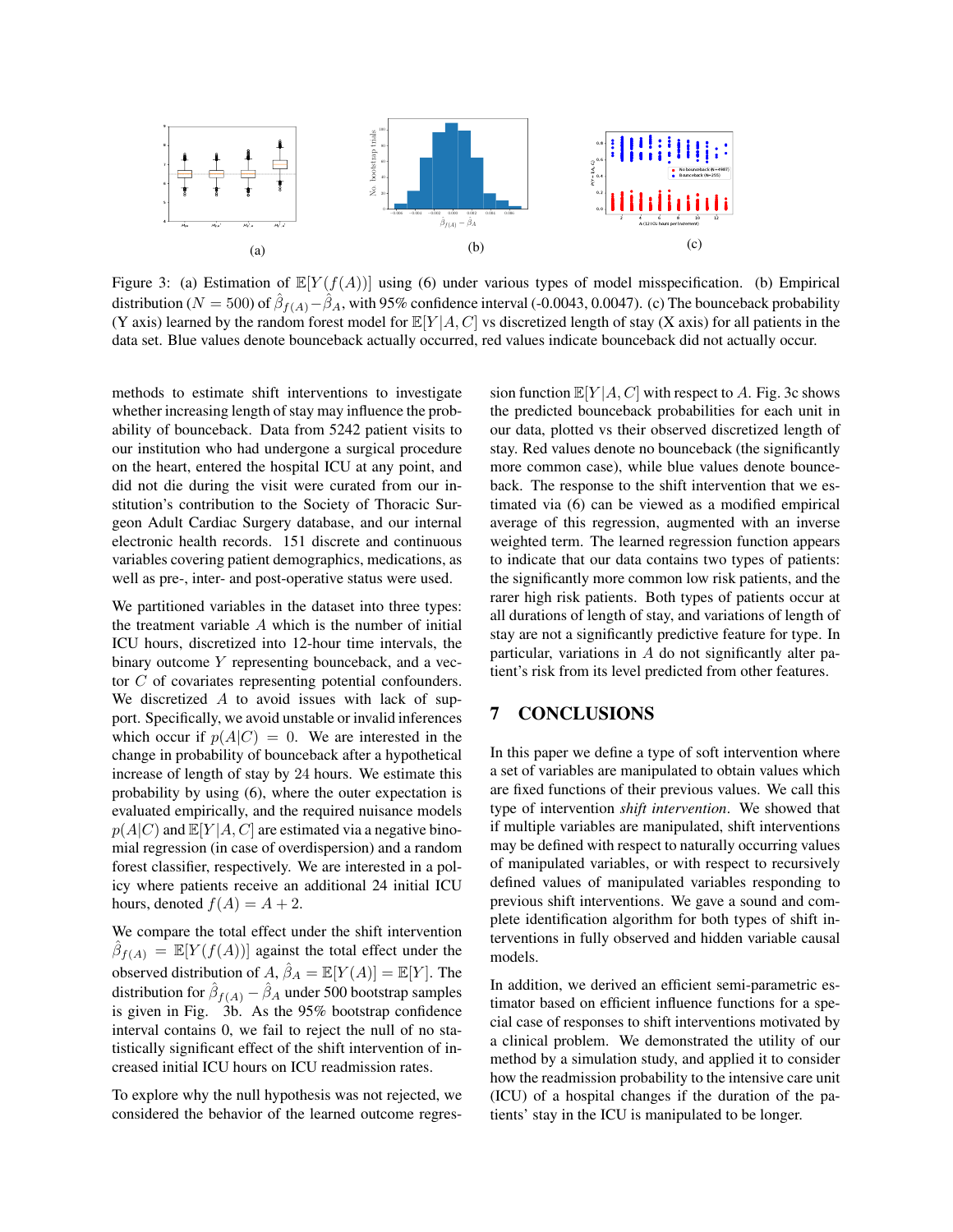

Figure 3: (a) Estimation of  $\mathbb{E}[Y(f(A))]$  using (6) under various types of model misspecification. (b) Empirical distribution ( $N = 500$ ) of  $\hat{\beta}_{f(A)} - \hat{\beta}_A$ , with 95% confidence interval (-0.0043, 0.0047). (c) The bounceback probability (Y axis) learned by the random forest model for  $\mathbb{E}[Y|A,C]$  vs discretized length of stay (X axis) for all patients in the data set. Blue values denote bounceback actually occurred, red values indicate bounceback did not actually occur.

methods to estimate shift interventions to investigate whether increasing length of stay may influence the probability of bounceback. Data from 5242 patient visits to our institution who had undergone a surgical procedure on the heart, entered the hospital ICU at any point, and did not die during the visit were curated from our institution's contribution to the Society of Thoracic Surgeon Adult Cardiac Surgery database, and our internal electronic health records. 151 discrete and continuous variables covering patient demographics, medications, as well as pre-, inter- and post-operative status were used.

We partitioned variables in the dataset into three types: the treatment variable  $A$  which is the number of initial ICU hours, discretized into 12-hour time intervals, the binary outcome Y representing bounceback, and a vector C of covariates representing potential confounders. We discretized  $A$  to avoid issues with lack of support. Specifically, we avoid unstable or invalid inferences which occur if  $p(A|C) = 0$ . We are interested in the change in probability of bounceback after a hypothetical increase of length of stay by 24 hours. We estimate this probability by using (6), where the outer expectation is evaluated empirically, and the required nuisance models  $p(A|C)$  and  $\mathbb{E}[Y|A, C]$  are estimated via a negative binomial regression (in case of overdispersion) and a random forest classifier, respectively. We are interested in a policy where patients receive an additional 24 initial ICU hours, denoted  $f(A) = A + 2$ .

We compare the total effect under the shift intervention  $\hat{\beta}_{f(A)} = \mathbb{E}[Y(f(A))]$  against the total effect under the observed distribution of  $A, \hat{\beta}_A = \mathbb{E}[Y(A)] = \mathbb{E}[Y]$ . The distribution for  $\hat{\beta}_{f(A)} - \hat{\beta}_A$  under 500 bootstrap samples is given in Fig. 3b. As the 95% bootstrap confidence interval contains 0, we fail to reject the null of no statistically significant effect of the shift intervention of increased initial ICU hours on ICU readmission rates.

To explore why the null hypothesis was not rejected, we considered the behavior of the learned outcome regression function  $\mathbb{E}[Y|A, C]$  with respect to A. Fig. 3c shows the predicted bounceback probabilities for each unit in our data, plotted vs their observed discretized length of stay. Red values denote no bounceback (the significantly more common case), while blue values denote bounceback. The response to the shift intervention that we estimated via (6) can be viewed as a modified empirical average of this regression, augmented with an inverse weighted term. The learned regression function appears to indicate that our data contains two types of patients: the significantly more common low risk patients, and the rarer high risk patients. Both types of patients occur at all durations of length of stay, and variations of length of stay are not a significantly predictive feature for type. In particular, variations in A do not significantly alter patient's risk from its level predicted from other features.

## 7 CONCLUSIONS

In this paper we define a type of soft intervention where a set of variables are manipulated to obtain values which are fixed functions of their previous values. We call this type of intervention *shift intervention*. We showed that if multiple variables are manipulated, shift interventions may be defined with respect to naturally occurring values of manipulated variables, or with respect to recursively defined values of manipulated variables responding to previous shift interventions. We gave a sound and complete identification algorithm for both types of shift interventions in fully observed and hidden variable causal models.

In addition, we derived an efficient semi-parametric estimator based on efficient influence functions for a special case of responses to shift interventions motivated by a clinical problem. We demonstrated the utility of our method by a simulation study, and applied it to consider how the readmission probability to the intensive care unit (ICU) of a hospital changes if the duration of the patients' stay in the ICU is manipulated to be longer.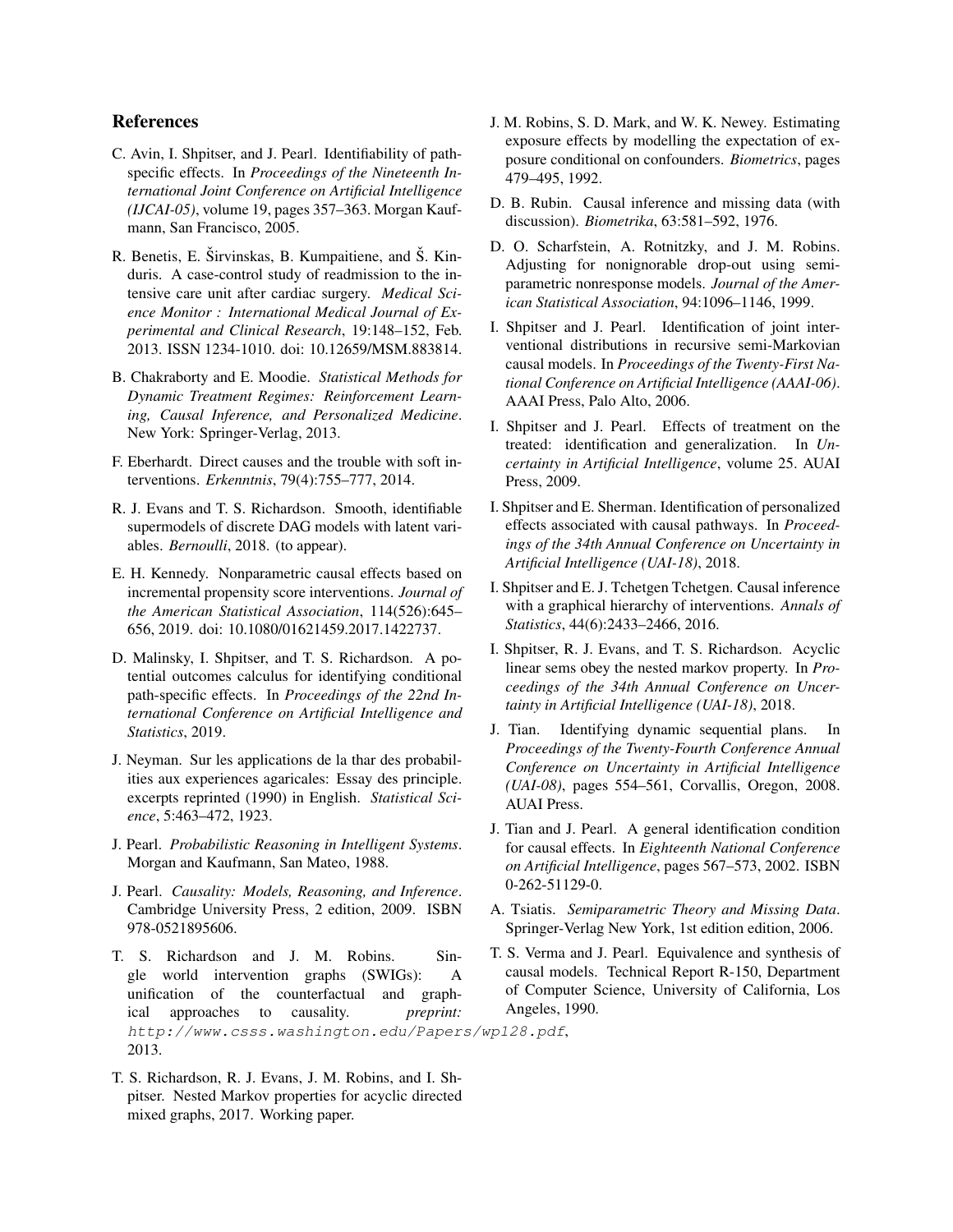### References

- C. Avin, I. Shpitser, and J. Pearl. Identifiability of pathspecific effects. In *Proceedings of the Nineteenth International Joint Conference on Artificial Intelligence (IJCAI-05)*, volume 19, pages 357–363. Morgan Kaufmann, San Francisco, 2005.
- R. Benetis, E. Širvinskas, B. Kumpaitiene, and Š. Kinduris. A case-control study of readmission to the intensive care unit after cardiac surgery. *Medical Science Monitor : International Medical Journal of Experimental and Clinical Research*, 19:148–152, Feb. 2013. ISSN 1234-1010. doi: 10.12659/MSM.883814.
- B. Chakraborty and E. Moodie. *Statistical Methods for Dynamic Treatment Regimes: Reinforcement Learning, Causal Inference, and Personalized Medicine*. New York: Springer-Verlag, 2013.
- F. Eberhardt. Direct causes and the trouble with soft interventions. *Erkenntnis*, 79(4):755–777, 2014.
- R. J. Evans and T. S. Richardson. Smooth, identifiable supermodels of discrete DAG models with latent variables. *Bernoulli*, 2018. (to appear).
- E. H. Kennedy. Nonparametric causal effects based on incremental propensity score interventions. *Journal of the American Statistical Association*, 114(526):645– 656, 2019. doi: 10.1080/01621459.2017.1422737.
- D. Malinsky, I. Shpitser, and T. S. Richardson. A potential outcomes calculus for identifying conditional path-specific effects. In *Proceedings of the 22nd International Conference on Artificial Intelligence and Statistics*, 2019.
- J. Neyman. Sur les applications de la thar des probabilities aux experiences agaricales: Essay des principle. excerpts reprinted (1990) in English. *Statistical Science*, 5:463–472, 1923.
- J. Pearl. *Probabilistic Reasoning in Intelligent Systems*. Morgan and Kaufmann, San Mateo, 1988.
- J. Pearl. *Causality: Models, Reasoning, and Inference*. Cambridge University Press, 2 edition, 2009. ISBN 978-0521895606.
- T. S. Richardson and J. M. Robins. Single world intervention graphs (SWIGs): A unification of the counterfactual and graphical approaches to causality. *preprint:* http://www.csss.washington.edu/Papers/wp128.pdf, 2013.
- T. S. Richardson, R. J. Evans, J. M. Robins, and I. Shpitser. Nested Markov properties for acyclic directed mixed graphs, 2017. Working paper.
- J. M. Robins, S. D. Mark, and W. K. Newey. Estimating exposure effects by modelling the expectation of exposure conditional on confounders. *Biometrics*, pages 479–495, 1992.
- D. B. Rubin. Causal inference and missing data (with discussion). *Biometrika*, 63:581–592, 1976.
- D. O. Scharfstein, A. Rotnitzky, and J. M. Robins. Adjusting for nonignorable drop-out using semiparametric nonresponse models. *Journal of the American Statistical Association*, 94:1096–1146, 1999.
- I. Shpitser and J. Pearl. Identification of joint interventional distributions in recursive semi-Markovian causal models. In *Proceedings of the Twenty-First National Conference on Artificial Intelligence (AAAI-06)*. AAAI Press, Palo Alto, 2006.
- I. Shpitser and J. Pearl. Effects of treatment on the treated: identification and generalization. In *Uncertainty in Artificial Intelligence*, volume 25. AUAI Press, 2009.
- I. Shpitser and E. Sherman. Identification of personalized effects associated with causal pathways. In *Proceedings of the 34th Annual Conference on Uncertainty in Artificial Intelligence (UAI-18)*, 2018.
- I. Shpitser and E. J. Tchetgen Tchetgen. Causal inference with a graphical hierarchy of interventions. *Annals of Statistics*, 44(6):2433–2466, 2016.
- I. Shpitser, R. J. Evans, and T. S. Richardson. Acyclic linear sems obey the nested markov property. In *Proceedings of the 34th Annual Conference on Uncertainty in Artificial Intelligence (UAI-18)*, 2018.
- J. Tian. Identifying dynamic sequential plans. *Proceedings of the Twenty-Fourth Conference Annual Conference on Uncertainty in Artificial Intelligence (UAI-08)*, pages 554–561, Corvallis, Oregon, 2008. AUAI Press.
- J. Tian and J. Pearl. A general identification condition for causal effects. In *Eighteenth National Conference on Artificial Intelligence*, pages 567–573, 2002. ISBN 0-262-51129-0.
- A. Tsiatis. *Semiparametric Theory and Missing Data*. Springer-Verlag New York, 1st edition edition, 2006.
- T. S. Verma and J. Pearl. Equivalence and synthesis of causal models. Technical Report R-150, Department of Computer Science, University of California, Los Angeles, 1990.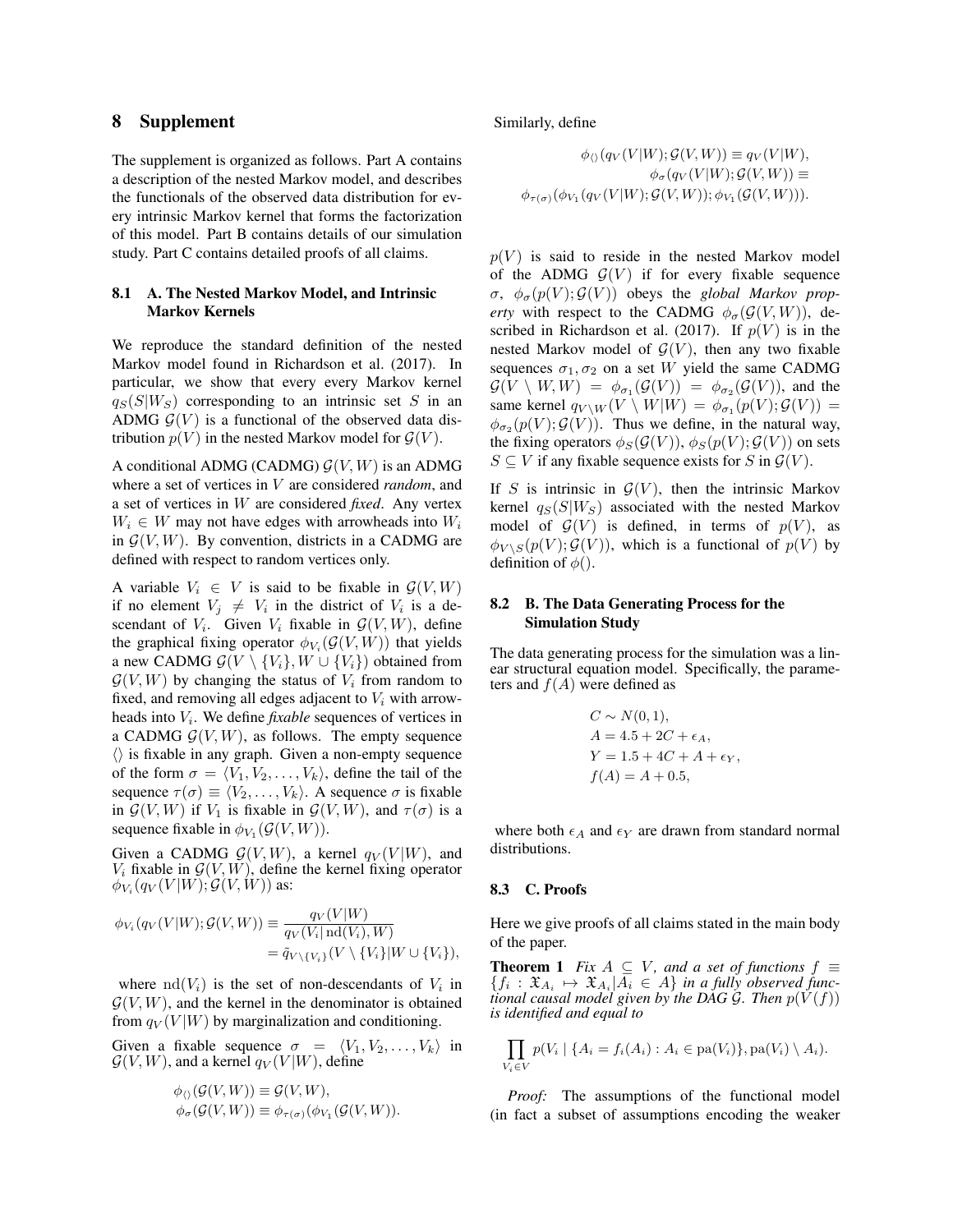### 8 Supplement

The supplement is organized as follows. Part A contains a description of the nested Markov model, and describes the functionals of the observed data distribution for every intrinsic Markov kernel that forms the factorization of this model. Part B contains details of our simulation study. Part C contains detailed proofs of all claims.

#### 8.1 A. The Nested Markov Model, and Intrinsic Markov Kernels

We reproduce the standard definition of the nested Markov model found in Richardson et al. (2017). In particular, we show that every every Markov kernel  $q_S(S|W_S)$  corresponding to an intrinsic set S in an ADMG  $\mathcal{G}(V)$  is a functional of the observed data distribution  $p(V)$  in the nested Markov model for  $\mathcal{G}(V)$ .

A conditional ADMG (CADMG)  $G(V, W)$  is an ADMG where a set of vertices in V are considered *random*, and a set of vertices in W are considered *fixed*. Any vertex  $W_i \in W$  may not have edges with arrowheads into  $W_i$ in  $\mathcal{G}(V, W)$ . By convention, districts in a CADMG are defined with respect to random vertices only.

A variable  $V_i \in V$  is said to be fixable in  $\mathcal{G}(V, W)$ if no element  $V_j \neq V_i$  in the district of  $V_i$  is a descendant of  $V_i$ . Given  $V_i$  fixable in  $\mathcal{G}(V, W)$ , define the graphical fixing operator  $\phi_{V_i}(\mathcal{G}(V, W))$  that yields a new CADMG  $\mathcal{G}(V \setminus \{V_i\}, W \cup \{V_i\})$  obtained from  $\mathcal{G}(V, W)$  by changing the status of  $V_i$  from random to fixed, and removing all edges adjacent to  $V_i$  with arrowheads into  $V_i$ . We define *fixable* sequences of vertices in a CADMG  $G(V, W)$ , as follows. The empty sequence  $\langle \rangle$  is fixable in any graph. Given a non-empty sequence of the form  $\sigma = \langle V_1, V_2, \ldots, V_k \rangle$ , define the tail of the sequence  $\tau(\sigma) \equiv \langle V_2, \ldots, V_k \rangle$ . A sequence  $\sigma$  is fixable in  $\mathcal{G}(V, W)$  if  $V_1$  is fixable in  $\mathcal{G}(V, W)$ , and  $\tau(\sigma)$  is a sequence fixable in  $\phi_{V_1}(\mathcal{G}(V,W))$ .

Given a CADMG  $G(V, W)$ , a kernel  $q_V(V | W)$ , and  $V_i$  fixable in  $\mathcal{G}(V, W)$ , define the kernel fixing operator  $\phi_{V_i}(q_V(V|W); \mathcal{G}(V,W))$  as:

$$
\phi_{V_i}(q_V(V|W); \mathcal{G}(V,W)) \equiv \frac{q_V(V|W)}{q_V(V_i| \operatorname{nd}(V_i), W)} \n= \tilde{q}_{V \setminus \{V_i\}}(V \setminus \{V_i\}|W \cup \{V_i\}),
$$

where  $\text{nd}(V_i)$  is the set of non-descendants of  $V_i$  in  $G(V, W)$ , and the kernel in the denominator is obtained from  $q_V(V|W)$  by marginalization and conditioning.

Given a fixable sequence  $\sigma = \langle V_1, V_2, \dots, V_k \rangle$  in  $G(V, W)$ , and a kernel  $q_V(V|W)$ , define

$$
\begin{aligned} \phi_{\langle\rangle}(\mathcal{G}(V,W)) &\equiv \mathcal{G}(V,W), \\ \phi_{\sigma}(\mathcal{G}(V,W)) &\equiv \phi_{\tau(\sigma)}(\phi_{V_1}(\mathcal{G}(V,W)). \end{aligned}
$$

Similarly, define

$$
\phi_{\langle\rangle}(q_V(V|W); \mathcal{G}(V,W)) \equiv q_V(V|W),
$$
  
\n
$$
\phi_{\sigma}(q_V(V|W); \mathcal{G}(V,W)) \equiv
$$
  
\n
$$
\phi_{\tau(\sigma)}(\phi_{V_1}(q_V(V|W); \mathcal{G}(V,W)); \phi_{V_1}(\mathcal{G}(V,W))).
$$

 $p(V)$  is said to reside in the nested Markov model of the ADMG  $G(V)$  if for every fixable sequence  $\sigma$ ,  $\phi_{\sigma}(p(V); \mathcal{G}(V))$  obeys the *global Markov property* with respect to the CADMG  $\phi_{\sigma}(G(V, W))$ , described in Richardson et al. (2017). If  $p(V)$  is in the nested Markov model of  $\mathcal{G}(V)$ , then any two fixable sequences  $\sigma_1, \sigma_2$  on a set W yield the same CADMG  $G(V \setminus W, W) = \phi_{\sigma_1}(\mathcal{G}(V)) = \phi_{\sigma_2}(\mathcal{G}(V)),$  and the same kernel  $q_{V\setminus W}(V\setminus W|W) = \phi_{\sigma_1}(p(V); \mathcal{G}(V)) =$  $\phi_{\sigma_2}(p(V); \mathcal{G}(V))$ . Thus we define, in the natural way, the fixing operators  $\phi_S(\mathcal{G}(V))$ ,  $\phi_S(p(V); \mathcal{G}(V))$  on sets  $S \subseteq V$  if any fixable sequence exists for S in  $\mathcal{G}(V)$ .

If S is intrinsic in  $\mathcal{G}(V)$ , then the intrinsic Markov kernel  $q_S(S|W_S)$  associated with the nested Markov model of  $\mathcal{G}(V)$  is defined, in terms of  $p(V)$ , as  $\phi_{V \setminus S}(p(V); \mathcal{G}(V))$ , which is a functional of  $p(V)$  by definition of  $\phi$ ().

#### 8.2 B. The Data Generating Process for the Simulation Study

The data generating process for the simulation was a linear structural equation model. Specifically, the parameters and  $f(A)$  were defined as

$$
C \sim N(0, 1), \n A = 4.5 + 2C + \epsilon_A, \n Y = 1.5 + 4C + A + \epsilon_Y, \n f(A) = A + 0.5,
$$

where both  $\epsilon_A$  and  $\epsilon_Y$  are drawn from standard normal distributions.

#### 8.3 C. Proofs

Here we give proofs of all claims stated in the main body of the paper.

**Theorem 1** *Fix*  $A \subseteq V$ *, and a set of functions*  $f \equiv$  ${f_i: \mathfrak{X}_{A_i} \mapsto \mathfrak{X}_{A_i} | A_i \in A}$  in a fully observed func*tional causal model given by the DAG G. Then*  $p(V(f))$ *is identified and equal to*

$$
\prod_{V_i \in V} p(V_i \mid \{A_i = f_i(A_i) : A_i \in pa(V_i)\}, pa(V_i) \setminus A_i).
$$

*Proof:* The assumptions of the functional model (in fact a subset of assumptions encoding the weaker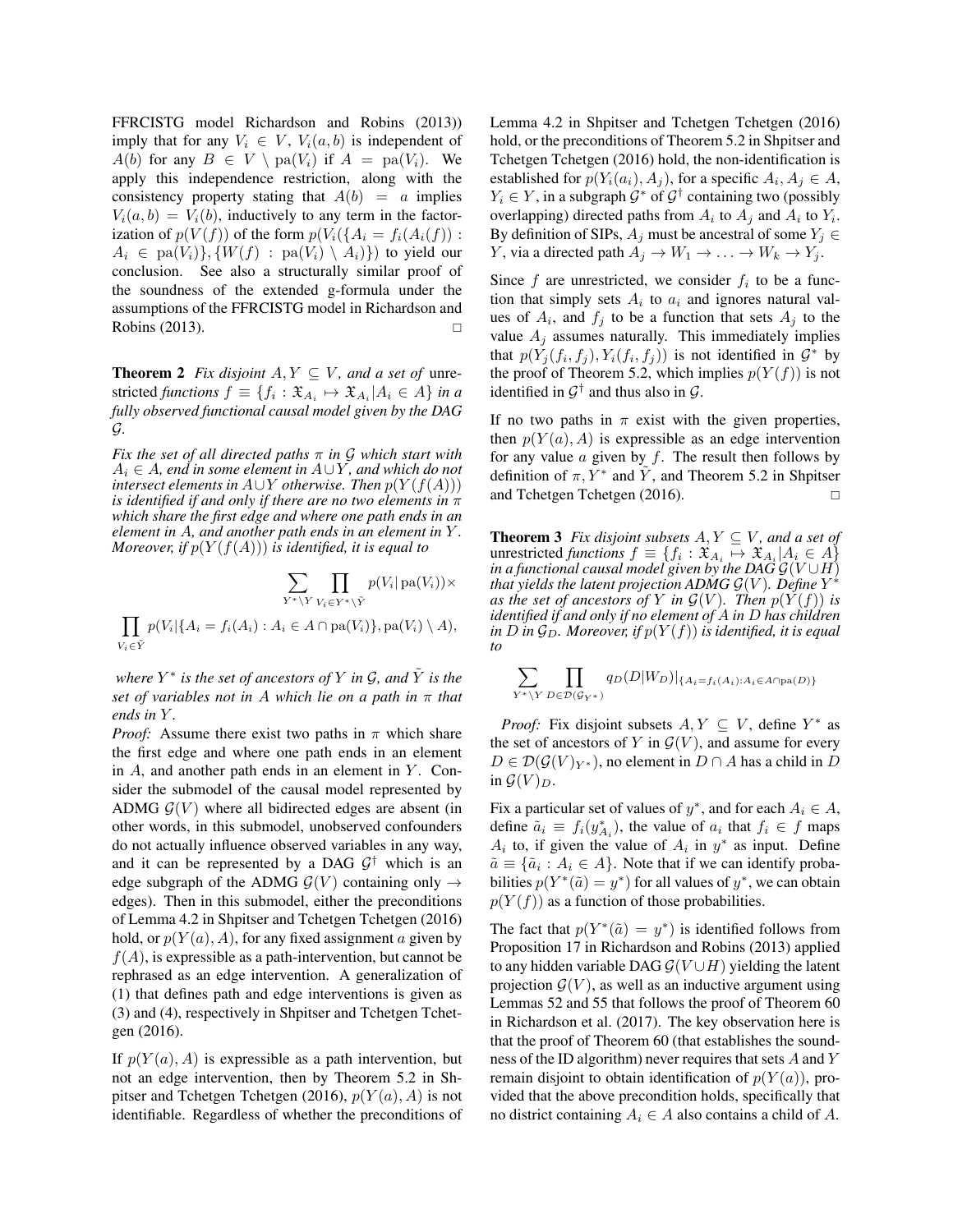FFRCISTG model Richardson and Robins (2013)) imply that for any  $V_i \in V$ ,  $V_i(a, b)$  is independent of  $A(b)$  for any  $B \in V \setminus pa(V_i)$  if  $A = pa(V_i)$ . We apply this independence restriction, along with the consistency property stating that  $A(b) = a$  implies  $V_i(a, b) = V_i(b)$ , inductively to any term in the factorization of  $p(V(f))$  of the form  $p(V_i({A_i = f_i(A_i(f))$ :  $A_i \in$  pa $(V_i)$ ,  $\{W(f) :$  pa $(V_i) \setminus A_i\}$  to yield our conclusion. See also a structurally similar proof of the soundness of the extended g-formula under the assumptions of the FFRCISTG model in Richardson and Robins  $(2013)$ .

**Theorem 2** *Fix disjoint*  $A, Y \subseteq V$ *, and a set of unre*stricted *functions*  $f \equiv \{f_i : \mathfrak{X}_{A_i} \mapsto \mathfrak{X}_{A_i} | A_i \in A\}$  *in a fully observed functional causal model given by the DAG* G*.*

*Fix the set of all directed paths* π *in* G *which start with* A<sup>i</sup> ∈ A*, end in some element in* A∪Y *, and which do not intersect elements in*  $A \cup Y$  *otherwise. Then*  $p(Y(f(A)))$ *is identified if and only if there are no two elements in* π *which share the first edge and where one path ends in an element in* A*, and another path ends in an element in* Y *. Moreover, if*  $p(Y(f(A)))$  *is identified, it is equal to* 

$$
\sum_{Y^* \backslash Y} \prod_{V_i \in Y^* \backslash \tilde{Y}} p(V_i | \text{pa}(V_i)) \times \prod_{V_i \in \tilde{Y}} p(V_i | \{A_i = f_i(A_i) : A_i \in A \cap \text{pa}(V_i)\}, \text{pa}(V_i) \setminus A),
$$

*where*  $Y^*$  *is the set of ancestors of*  $Y$  *in*  $\mathcal{G}$ *, and*  $\tilde{Y}$  *is the set of variables not in* A *which lie on a path in* π *that ends in* Y *.*

*Proof:* Assume there exist two paths in  $\pi$  which share the first edge and where one path ends in an element in  $A$ , and another path ends in an element in  $Y$ . Consider the submodel of the causal model represented by ADMG  $G(V)$  where all bidirected edges are absent (in other words, in this submodel, unobserved confounders do not actually influence observed variables in any way, and it can be represented by a DAG  $G^{\dagger}$  which is an edge subgraph of the ADMG  $\mathcal{G}(V)$  containing only  $\rightarrow$ edges). Then in this submodel, either the preconditions of Lemma 4.2 in Shpitser and Tchetgen Tchetgen (2016) hold, or  $p(Y(a), A)$ , for any fixed assignment a given by  $f(A)$ , is expressible as a path-intervention, but cannot be rephrased as an edge intervention. A generalization of (1) that defines path and edge interventions is given as (3) and (4), respectively in Shpitser and Tchetgen Tchetgen (2016).

If  $p(Y(a), A)$  is expressible as a path intervention, but not an edge intervention, then by Theorem 5.2 in Shpitser and Tchetgen Tchetgen (2016),  $p(Y(a), A)$  is not identifiable. Regardless of whether the preconditions of Lemma 4.2 in Shpitser and Tchetgen Tchetgen (2016) hold, or the preconditions of Theorem 5.2 in Shpitser and Tchetgen Tchetgen (2016) hold, the non-identification is established for  $p(Y_i(a_i), A_j)$ , for a specific  $A_i, A_j \in A$ ,  $Y_i \in Y$ , in a subgraph  $\mathcal{G}^*$  of  $\mathcal{G}^{\dagger}$  containing two (possibly overlapping) directed paths from  $A_i$  to  $A_j$  and  $A_i$  to  $Y_i$ . By definition of SIPs,  $A_j$  must be ancestral of some  $Y_j \in$ Y, via a directed path  $A_j \to W_1 \to \ldots \to W_k \to Y_j$ .

Since  $f$  are unrestricted, we consider  $f_i$  to be a function that simply sets  $A_i$  to  $a_i$  and ignores natural values of  $A_i$ , and  $f_j$  to be a function that sets  $A_j$  to the value  $A_j$  assumes naturally. This immediately implies that  $p(Y_j(f_i, f_j), Y_i(f_i, f_j))$  is not identified in  $\mathcal{G}^*$  by the proof of Theorem 5.2, which implies  $p(Y(f))$  is not identified in  $\mathcal{G}^{\dagger}$  and thus also in  $\mathcal{G}$ .

If no two paths in  $\pi$  exist with the given properties, then  $p(Y(a), A)$  is expressible as an edge intervention for any value  $\alpha$  given by  $f$ . The result then follows by definition of  $\pi, Y^*$  and  $\tilde{Y}$ , and Theorem 5.2 in Shpitser and Tchetgen Tchetgen (2016). □

**Theorem 3** *Fix disjoint subsets*  $A, Y \subseteq V$ *, and a set of* unrestricted *functions*  $f \equiv \{f_i : \mathfrak{X}_{A_i} \mapsto \mathfrak{X}_{A_i} | A_i \in A\}$ *in a functional causal model given by the DAG*  $\mathcal{G}(V \cup H)$ *that yields the latent projection ADMG*  $\mathcal{G}(V)$ *. Define*  $Y^*$ *as the set of ancestors of* Y *in*  $\mathcal{G}(V)$ *. Then*  $p(Y(f))$  *is identified if and only if no element of* A *in* D *has children in D in*  $\mathcal{G}_D$ *. Moreover, if*  $p(Y(f))$  *is identified, it is equal to*

$$
\sum_{Y^* \backslash Y} \prod_{D \in \mathcal{D}(\mathcal{G}_{Y^*})} q_D(D|W_D)|_{\{A_i = f_i(A_i): A_i \in A \cap pa(D)\}}
$$

*Proof:* Fix disjoint subsets  $A, Y \subseteq V$ , define  $Y^*$  as the set of ancestors of Y in  $\mathcal{G}(V)$ , and assume for every  $D \in \mathcal{D}(\mathcal{G}(V)_{Y^*})$ , no element in  $D \cap A$  has a child in D in  $\mathcal{G}(V)_{D}$ .

Fix a particular set of values of  $y^*$ , and for each  $A_i \in A$ , define  $\tilde{a}_i \equiv f_i(y_{A_i}^*)$ , the value of  $a_i$  that  $f_i \in f$  maps  $A_i$  to, if given the value of  $A_i$  in  $y^*$  as input. Define  $\tilde{a} \equiv \{\tilde{a}_i : A_i \in A\}$ . Note that if we can identify probabilities  $p(Y^*(\tilde{a}) = y^*)$  for all values of  $y^*$ , we can obtain  $p(Y(f))$  as a function of those probabilities.

The fact that  $p(Y^*(\tilde{a}) = y^*)$  is identified follows from Proposition 17 in Richardson and Robins (2013) applied to any hidden variable DAG  $G(V \cup H)$  yielding the latent projection  $\mathcal{G}(V)$ , as well as an inductive argument using Lemmas 52 and 55 that follows the proof of Theorem 60 in Richardson et al. (2017). The key observation here is that the proof of Theorem 60 (that establishes the soundness of the ID algorithm) never requires that sets A and Y remain disjoint to obtain identification of  $p(Y(a))$ , provided that the above precondition holds, specifically that no district containing  $A_i \in A$  also contains a child of A.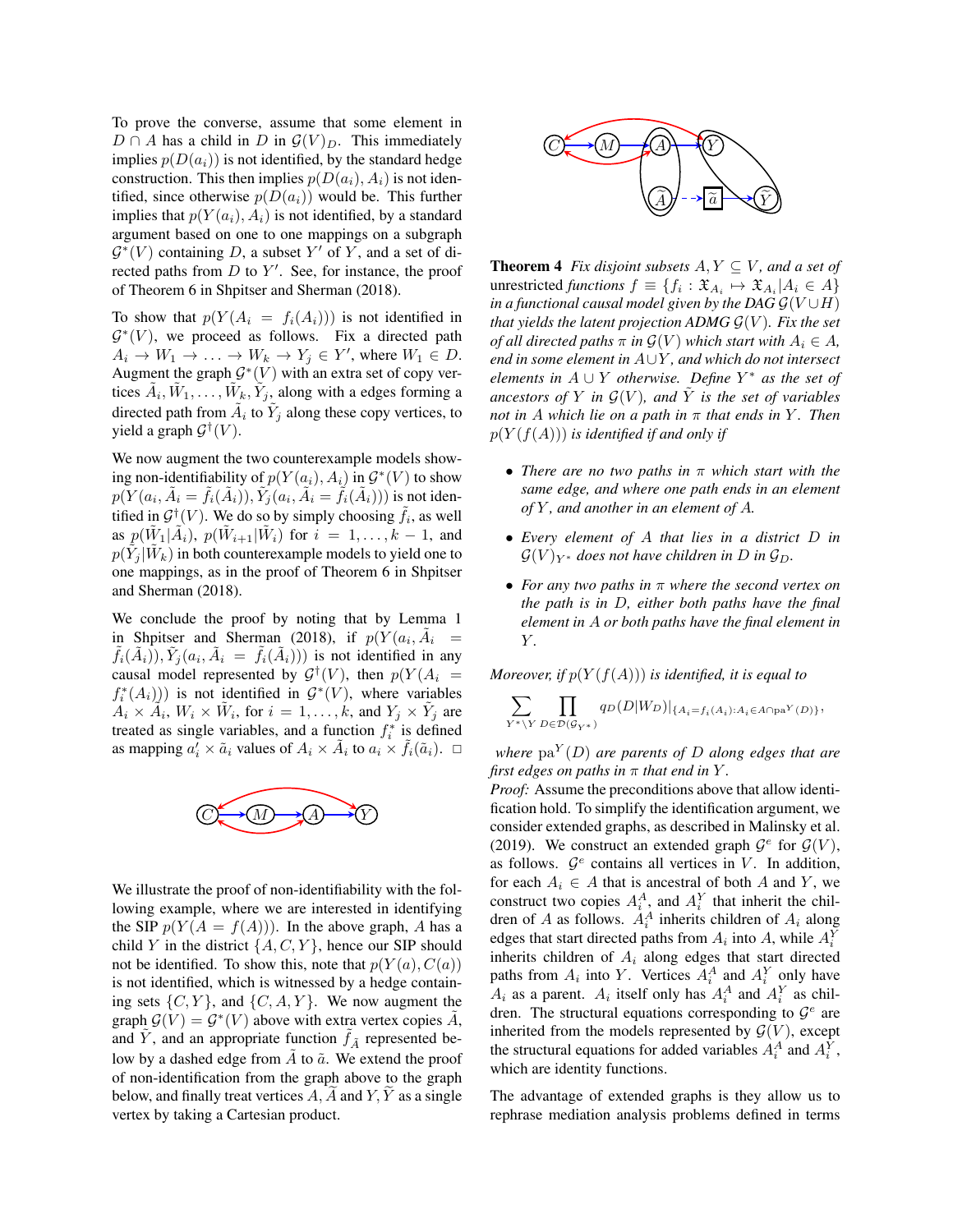To prove the converse, assume that some element in  $D \cap A$  has a child in D in  $\mathcal{G}(V)_{D}$ . This immediately implies  $p(D(a_i))$  is not identified, by the standard hedge construction. This then implies  $p(D(a_i), A_i)$  is not identified, since otherwise  $p(D(a_i))$  would be. This further implies that  $p(Y(a_i), A_i)$  is not identified, by a standard argument based on one to one mappings on a subgraph  $\mathcal{G}^*(V)$  containing D, a subset Y' of Y, and a set of directed paths from  $D$  to  $Y'$ . See, for instance, the proof of Theorem 6 in Shpitser and Sherman (2018).

To show that  $p(Y(A_i = f_i(A_i)))$  is not identified in  $\mathcal{G}^*(V)$ , we proceed as follows. Fix a directed path  $A_i \to W_1 \to \ldots \to W_k \to Y_j \in Y'$ , where  $W_1 \in D$ . Augment the graph  $\mathcal{G}^*(V)$  with an extra set of copy vertices  $\tilde{A}_i, \tilde{W}_1, \ldots, \tilde{W}_k, \tilde{Y}_j$ , along with a edges forming a directed path from  $\tilde{A}_i$  to  $\tilde{Y}_j$  along these copy vertices, to yield a graph  $\mathcal{G}^{\dagger}(V)$ .

We now augment the two counterexample models showing non-identifiability of  $p(Y(a_i), A_i)$  in  $\mathcal{G}^*(V)$  to show  $p(Y(a_i, \tilde{A}_i = \tilde{f}_i(\tilde{A}_i)), \tilde{Y}_j(a_i, \tilde{A}_i = \tilde{f}_i(\tilde{A}_i)))$  is not identified in  $\mathcal{G}^{\dagger}(V)$ . We do so by simply choosing  $\tilde{f}_i$ , as well as  $p(\tilde{W}_1|\tilde{A}_i)$ ,  $p(\tilde{W}_{i+1}|\tilde{W}_i)$  for  $i = 1, ..., k - 1$ , and  $p(\tilde{Y}_j|\tilde{W}_k)$  in both counterexample models to yield one to one mappings, as in the proof of Theorem 6 in Shpitser and Sherman (2018).

We conclude the proof by noting that by Lemma 1 in Shpitser and Sherman (2018), if  $p(Y(a_i, \tilde{A}_i)$  $\tilde{f}_i(\tilde{A}_i), \tilde{Y}_j(a_i, \tilde{A}_i) = \tilde{f}_i(\tilde{A}_i))$  is not identified in any causal model represented by  $\mathcal{G}^{\dagger}(V)$ , then  $p(Y(A_i =$  $f_i^*(A_i)$ ) is not identified in  $\mathcal{G}^*(V)$ , where variables  $A_i \times \tilde{A}_i$ ,  $W_i \times \tilde{W}_i$ , for  $i = 1, \ldots, k$ , and  $Y_j \times \tilde{Y}_j$  are treated as single variables, and a function  $f_i^*$  is defined as mapping  $a_i' \times \tilde{a}_i$  values of  $A_i \times \tilde{A}_i$  to  $a_i \times \tilde{f}_i(\tilde{a}_i)$ .  $\Box$ 



We illustrate the proof of non-identifiability with the following example, where we are interested in identifying the SIP  $p(Y(A = f(A)))$ . In the above graph, A has a child Y in the district  $\{A, C, Y\}$ , hence our SIP should not be identified. To show this, note that  $p(Y(a), C(a))$ is not identified, which is witnessed by a hedge containing sets  $\{C, Y\}$ , and  $\{C, A, Y\}$ . We now augment the graph  $\mathcal{G}(V) = \mathcal{G}^*(V)$  above with extra vertex copies  $\tilde{A}$ , and Y, and an appropriate function  $f_{\tilde{A}}$  represented below by a dashed edge from  $\tilde{A}$  to  $\tilde{a}$ . We extend the proof of non-identification from the graph above to the graph below, and finally treat vertices  $A, \overline{A}$  and  $\overline{Y}, \overline{Y}$  as a single vertex by taking a Cartesian product.



**Theorem 4** *Fix disjoint subsets*  $A, Y \subseteq V$ *, and a set of* unrestricted *functions*  $f \equiv \{f_i : \mathfrak{X}_{A_i} \mapsto \mathfrak{X}_{A_i} | A_i \in A\}$ *in a functional causal model given by the DAG*  $\mathcal{G}(V \cup H)$ *that yields the latent projection ADMG*  $\mathcal{G}(V)$ *. Fix the set of all directed paths*  $\pi$  *in*  $\mathcal{G}(V)$  *which start with*  $A_i \in A$ *, end in some element in* A∪Y *, and which do not intersect elements in*  $A \cup Y$  *otherwise. Define*  $Y^*$  *as the set of ancestors of* Y *in*  $\mathcal{G}(V)$ *, and*  $\tilde{Y}$  *is the set of variables not in* A *which lie on a path in*  $\pi$  *that ends in* Y. *Then*  $p(Y(f(A)))$  *is identified if and only if* 

- *There are no two paths in* π *which start with the same edge, and where one path ends in an element of* Y *, and another in an element of* A*.*
- *Every element of* A *that lies in a district* D *in*  $\mathcal{G}(V)_{Y^*}$  does not have children in D in  $\mathcal{G}_D$ .
- *For any two paths in* π *where the second vertex on the path is in* D*, either both paths have the final element in* A *or both paths have the final element in* Y *.*

*Moreover, if*  $p(Y(f(A)))$  *is identified, it is equal to* 

$$
\sum_{Y^* \backslash Y} \prod_{D \in \mathcal{D}(\mathcal{G}_{Y^*})} q_D(D|W_D)|_{\{A_i = f_i(A_i): A_i \in A \cap \text{pa}^Y(D)\}},
$$

*where* pa<sup>Y</sup> (D) *are parents of* D *along edges that are first edges on paths in*  $\pi$  *that end in*  $Y$ *.* 

*Proof:* Assume the preconditions above that allow identification hold. To simplify the identification argument, we consider extended graphs, as described in Malinsky et al. (2019). We construct an extended graph  $\mathcal{G}^e$  for  $\mathcal{G}(V)$ , as follows.  $\mathcal{G}^e$  contains all vertices in V. In addition, for each  $A_i \in A$  that is ancestral of both A and Y, we construct two copies  $A_i^A$ , and  $A_i^Y$  that inherit the children of A as follows.  $A_i^A$  inherits children of  $A_i$  along edges that start directed paths from  $A_i$  into A, while  $A_i^Y$ inherits children of  $A_i$  along edges that start directed paths from  $A_i$  into Y. Vertices  $A_i^A$  and  $A_i^Y$  only have  $A_i$  as a parent.  $A_i$  itself only has  $A_i^A$  and  $A_i^Y$  as children. The structural equations corresponding to  $\mathcal{G}^e$  are inherited from the models represented by  $\mathcal{G}(V)$ , except the structural equations for added variables  $A_i^A$  and  $A_i^Y$ , which are identity functions.

The advantage of extended graphs is they allow us to rephrase mediation analysis problems defined in terms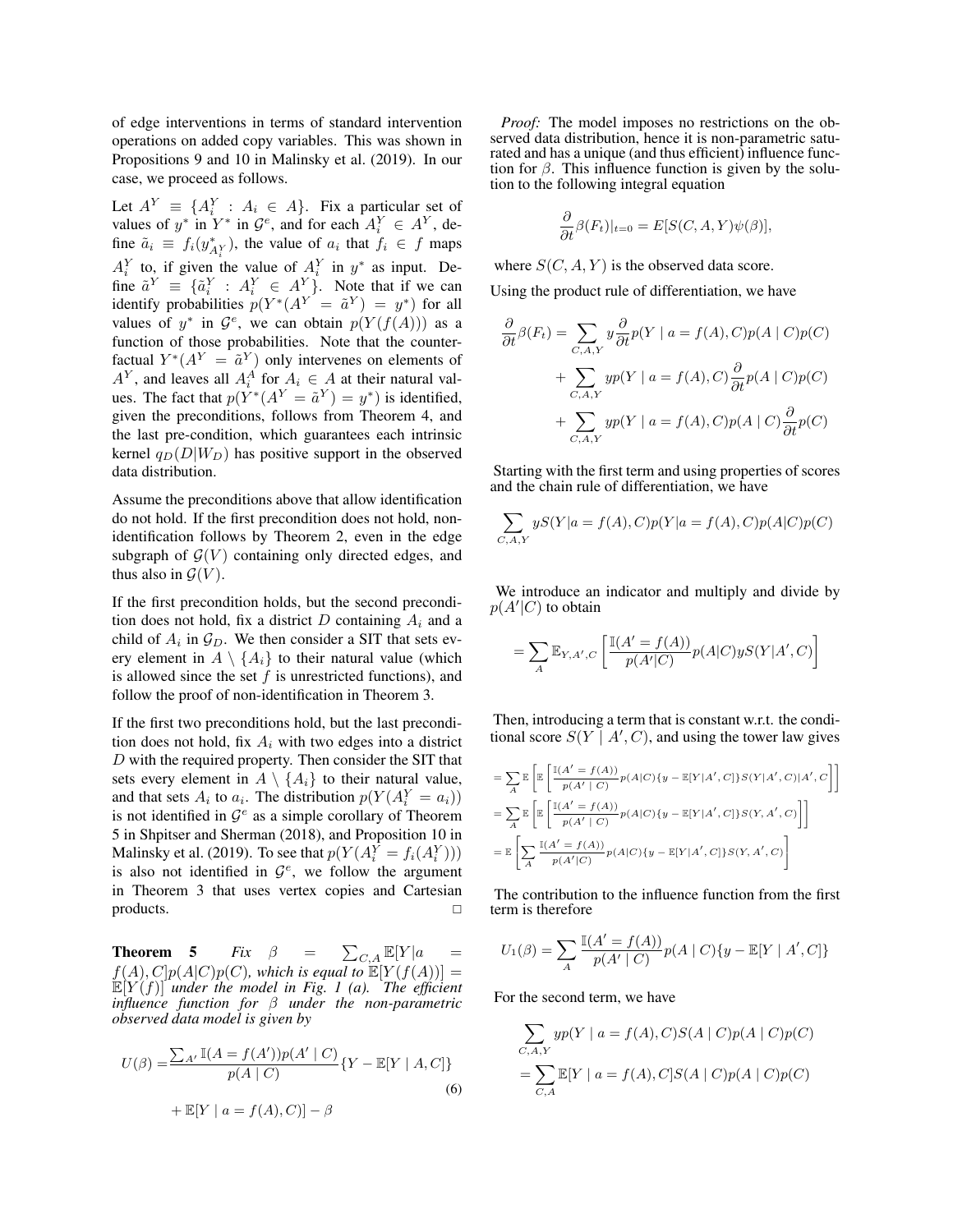of edge interventions in terms of standard intervention operations on added copy variables. This was shown in Propositions 9 and 10 in Malinsky et al. (2019). In our case, we proceed as follows.

Let  $A^Y \equiv \{A_i^Y : A_i \in A\}$ . Fix a particular set of values of  $y^*$  in  $Y^*$  in  $\mathcal{G}^e$ , and for each  $A_i^Y \in A^Y$ , define  $\tilde{a}_i \equiv f_i(y_{A_i^Y}^*)$ , the value of  $a_i$  that  $f_i \in f$  maps  $A_i^Y$  to, if given the value of  $A_i^Y$  in  $y^*$  as input. Define  $\tilde{a}^Y \equiv \{\tilde{a}^Y_i : A^Y_i \in A^Y\}$ . Note that if we can identify probabilities  $p(Y^*(A^Y = \tilde{a}^Y) = y^*)$  for all values of  $y^*$  in  $\mathcal{G}^e$ , we can obtain  $p(Y(f(A)))$  as a function of those probabilities. Note that the counterfactual  $Y^*(A^Y = \tilde{a}^Y)$  only intervenes on elements of  $A^Y$ , and leaves all  $A_i^A$  for  $A_i \in A$  at their natural values. The fact that  $p(Y^*(A^Y = \tilde{a}^Y) = y^*)$  is identified, given the preconditions, follows from Theorem 4, and the last pre-condition, which guarantees each intrinsic kernel  $q_D(D|W_D)$  has positive support in the observed data distribution.

Assume the preconditions above that allow identification do not hold. If the first precondition does not hold, nonidentification follows by Theorem 2, even in the edge subgraph of  $\mathcal{G}(V)$  containing only directed edges, and thus also in  $\mathcal{G}(V)$ .

If the first precondition holds, but the second precondition does not hold, fix a district  $D$  containing  $A_i$  and a child of  $A_i$  in  $\mathcal{G}_D$ . We then consider a SIT that sets every element in  $A \setminus \{A_i\}$  to their natural value (which is allowed since the set  $f$  is unrestricted functions), and follow the proof of non-identification in Theorem 3.

If the first two preconditions hold, but the last precondition does not hold, fix  $A_i$  with two edges into a district D with the required property. Then consider the SIT that sets every element in  $A \setminus \{A_i\}$  to their natural value, and that sets  $A_i$  to  $a_i$ . The distribution  $p(Y(A_i^Y = a_i))$ is not identified in  $\mathcal{G}^e$  as a simple corollary of Theorem 5 in Shpitser and Sherman (2018), and Proposition 10 in Malinsky et al. (2019). To see that  $p(Y(A_i^Y = f_i(A_i^Y)))$ is also not identified in  $\mathcal{G}^e$ , we follow the argument in Theorem 3 that uses vertex copies and Cartesian products.

**Theorem 5**  $Fix$   $\beta$  =  $\sum_{C,A} \mathbb{E}[Y]a =$  $f(A), C[p(A|C)p(C),$  which is equal to  $\mathbb{E}[Y(f(A))] =$ <br> $\mathbb{E}[Y(f)]$  under the model in Fig. 1 (a). The efficient *influence function for* β *under the non-parametric observed data model is given by*

$$
U(\beta) = \frac{\sum_{A'} \mathbb{I}(A = f(A'))p(A' | C)}{p(A | C)} \{Y - \mathbb{E}[Y | A, C]\}
$$
  
+ 
$$
\mathbb{E}[Y | a = f(A), C]| - \beta
$$
 (6)

*Proof:* The model imposes no restrictions on the observed data distribution, hence it is non-parametric saturated and has a unique (and thus efficient) influence function for  $\beta$ . This influence function is given by the solution to the following integral equation

$$
\frac{\partial}{\partial t}\beta(F_t)|_{t=0} = E[S(C, A, Y)\psi(\beta)],
$$

where  $S(C, A, Y)$  is the observed data score.

Using the product rule of differentiation, we have

$$
\frac{\partial}{\partial t}\beta(F_t) = \sum_{C, A, Y} y \frac{\partial}{\partial t} p(Y \mid a = f(A), C) p(A \mid C) p(C)
$$

$$
+ \sum_{C, A, Y} yp(Y \mid a = f(A), C) \frac{\partial}{\partial t} p(A \mid C) p(C)
$$

$$
+ \sum_{C, A, Y} yp(Y \mid a = f(A), C) p(A \mid C) \frac{\partial}{\partial t} p(C)
$$

Starting with the first term and using properties of scores and the chain rule of differentiation, we have

$$
\sum_{C, A, Y} yS(Y|a = f(A), C)p(Y|a = f(A), C)p(A|C)p(C)
$$

We introduce an indicator and multiply and divide by  $p(A'|C)$  to obtain

$$
= \sum_{A} \mathbb{E}_{Y,A',C} \left[ \frac{\mathbb{I}(A' = f(A))}{p(A'|C)} p(A|C) y S(Y|A',C) \right]
$$

Then, introducing a term that is constant w.r.t. the conditional score  $S(Y | A', C)$ , and using the tower law gives

$$
= \sum_{A} \mathbb{E}\left[\mathbb{E}\left[\frac{\mathbb{I}(A'=f(A))}{p(A'\mid C)}p(A|C)\{y-\mathbb{E}[Y|A',C]\}S(Y|A',C)|A',C\right]\right]
$$
  
\n
$$
= \sum_{A} \mathbb{E}\left[\mathbb{E}\left[\frac{\mathbb{I}(A'=f(A))}{p(A'\mid C)}p(A|C)\{y-\mathbb{E}[Y|A',C]\}S(Y,A',C)\right]\right]
$$
  
\n
$$
= \mathbb{E}\left[\sum_{A} \frac{\mathbb{I}(A'=f(A))}{p(A'|C)}p(A|C)\{y-\mathbb{E}[Y|A',C]\}S(Y,A',C)\right]
$$

The contribution to the influence function from the first term is therefore

$$
U_1(\beta)=\sum_A{\mathbb{I}(A'=f(A))\over p(A'\mid C)}p(A\mid C)\{y-\mathbb{E}[Y\mid A',C]\}
$$

For the second term, we have

$$
\sum_{C,A,Y} yp(Y \mid a = f(A), C)S(A \mid C)p(A \mid C)p(C)
$$
  
= 
$$
\sum_{C,A} \mathbb{E}[Y \mid a = f(A), C]S(A \mid C)p(A \mid C)p(C)
$$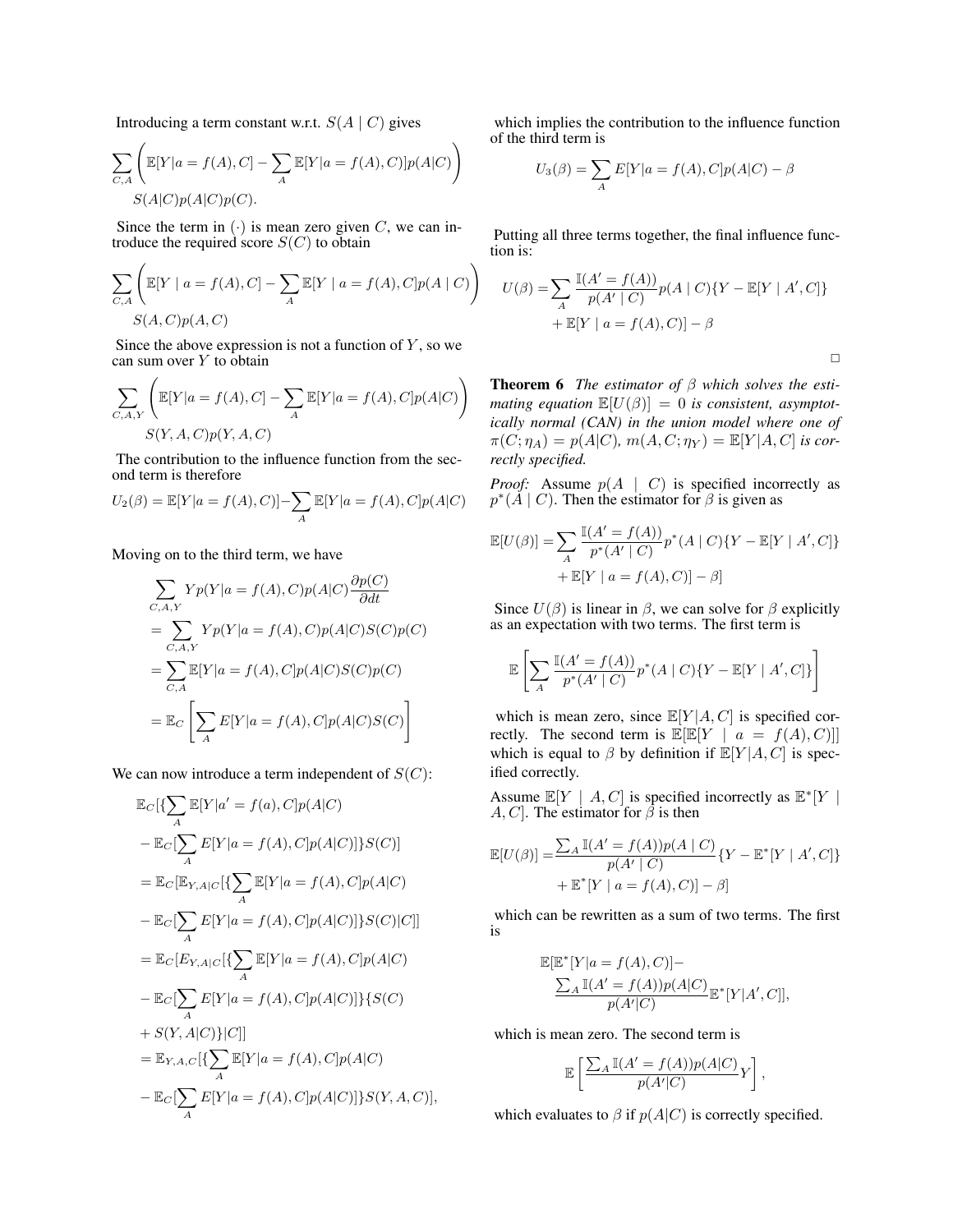Introducing a term constant w.r.t.  $S(A | C)$  gives

$$
\sum_{C,A} \left( \mathbb{E}[Y|a = f(A), C] - \sum_{A} \mathbb{E}[Y|a = f(A), C)] p(A|C) \right)
$$
  

$$
S(A|C)p(A|C)p(C).
$$

Since the term in  $(\cdot)$  is mean zero given C, we can introduce the required score  $S(C)$  to obtain

$$
\sum_{C,A} \left( \mathbb{E}[Y \mid a = f(A), C] - \sum_{A} \mathbb{E}[Y \mid a = f(A), C] p(A \mid C) \right)
$$
  

$$
S(A, C) p(A, C)
$$

Since the above expression is not a function of  $Y$ , so we can sum over  $Y$  to obtain

$$
\sum_{C, A, Y} \left( \mathbb{E}[Y|a = f(A), C] - \sum_{A} \mathbb{E}[Y|a = f(A), C] p(A|C) \right)
$$
  

$$
S(Y, A, C) p(Y, A, C)
$$

The contribution to the influence function from the second term is therefore

$$
U_2(\beta) = \mathbb{E}[Y|a = f(A), C)] - \sum_{A} \mathbb{E}[Y|a = f(A), C] p(A|C)
$$

Moving on to the third term, we have

$$
\sum_{C,A,Y} Yp(Y|a = f(A), C)p(A|C)\frac{\partial p(C)}{\partial dt}
$$
  
= 
$$
\sum_{C,A,Y} Yp(Y|a = f(A), C)p(A|C)S(C)p(C)
$$
  
= 
$$
\sum_{C,A} \mathbb{E}[Y|a = f(A), C]p(A|C)S(C)p(C)
$$
  
= 
$$
\mathbb{E}_C \left[ \sum_A E[Y|a = f(A), C]p(A|C)S(C) \right]
$$

We can now introduce a term independent of  $S(C)$ :

$$
\mathbb{E}_{C}[\{\sum_{A} \mathbb{E}[Y|a' = f(a), C]p(A|C) - \mathbb{E}_{C}[\sum_{A} E[Y|a = f(A), C]p(A|C)]\}S(C)]
$$
  
\n
$$
= \mathbb{E}_{C}[\sum_{A} E[Y|a = f(A), C]p(A|C)]\}S(C)]
$$
  
\n
$$
- \mathbb{E}_{C}[\sum_{A} E[Y|a = f(A), C]p(A|C)]\}S(C)|C]]
$$
  
\n
$$
= \mathbb{E}_{C}[E_{Y,A|C}[\{\sum_{A} \mathbb{E}[Y|a = f(A), C]p(A|C)\}S(C)]
$$
  
\n
$$
- \mathbb{E}_{C}[\sum_{A} E[Y|a = f(A), C]p(A|C)]\}\{S(C)
$$
  
\n
$$
+ S(Y, A|C)\}[C]]
$$
  
\n
$$
= \mathbb{E}_{Y,A,C}[\{\sum_{A} \mathbb{E}[Y|a = f(A), C]p(A|C)\}S(Y, A, C)],
$$

which implies the contribution to the influence function of the third term is

$$
U_3(\beta) = \sum_A E[Y|a = f(A), C]p(A|C) - \beta
$$

Putting all three terms together, the final influence function is:

$$
U(\beta) = \sum_{A} \frac{\mathbb{I}(A' = f(A))}{p(A' | C)} p(A | C) \{Y - \mathbb{E}[Y | A', C]\} + \mathbb{E}[Y | a = f(A), C] - \beta
$$

 $\Box$ 

Theorem 6 *The estimator of* β *which solves the estimating equation*  $\mathbb{E}[U(\beta)] = 0$  *is consistent, asymptotically normal (CAN) in the union model where one of*  $\pi(C; \eta_A) = p(A|C), m(A, C; \eta_Y) = \mathbb{E}[Y|A, C]$  *is correctly specified.*

*Proof:* Assume  $p(A \mid C)$  is specified incorrectly as  $p^*(\mathring{A} \mid C)$ . Then the estimator for  $\beta$  is given as

$$
\mathbb{E}[U(\beta)] = \sum_{A} \frac{\mathbb{I}(A' = f(A))}{p^*(A' \mid C)} p^*(A \mid C) \{ Y - \mathbb{E}[Y \mid A', C] \} + \mathbb{E}[Y \mid a = f(A), C] - \beta]
$$

Since  $U(\beta)$  is linear in  $\beta$ , we can solve for  $\beta$  explicitly as an expectation with two terms. The first term is

$$
\mathbb{E}\left[\sum_{A}\frac{\mathbb{I}(A'=f(A))}{p^*(A'\mid C)}p^*(A\mid C)\{Y-\mathbb{E}[Y\mid A',C]\}\right]
$$

which is mean zero, since  $\mathbb{E}[Y|A, C]$  is specified correctly. The second term is  $\mathbb{E}[\mathbb{E}[Y \mid a = f(A), C]]$ which is equal to  $\beta$  by definition if  $\mathbb{E}[Y|A, C]$  is specified correctly.

Assume  $\mathbb{E}[Y \mid A, C]$  is specified incorrectly as  $\mathbb{E}^*[Y \mid A, C]$ A, C]. The estimator for  $\beta$  is then

$$
\mathbb{E}[U(\beta)] = \frac{\sum_{A} \mathbb{I}(A' = f(A))p(A \mid C)}{p(A' \mid C)} \{Y - \mathbb{E}^*[Y \mid A', C]\}
$$

$$
+ \mathbb{E}^*[Y \mid a = f(A), C)] - \beta]
$$

which can be rewritten as a sum of two terms. The first is

$$
\mathbb{E}[\mathbb{E}^*[Y|a = f(A), C)] -
$$
  

$$
\frac{\sum_A \mathbb{I}(A' = f(A))p(A|C)}{p(A'|C)} \mathbb{E}^*[Y|A', C]],
$$

which is mean zero. The second term is

$$
\mathbb{E}\left[\frac{\sum_{A}\mathbb{I}(A'=f(A))p(A|C)}{p(A'|C)}Y\right],
$$

which evaluates to  $\beta$  if  $p(A|C)$  is correctly specified.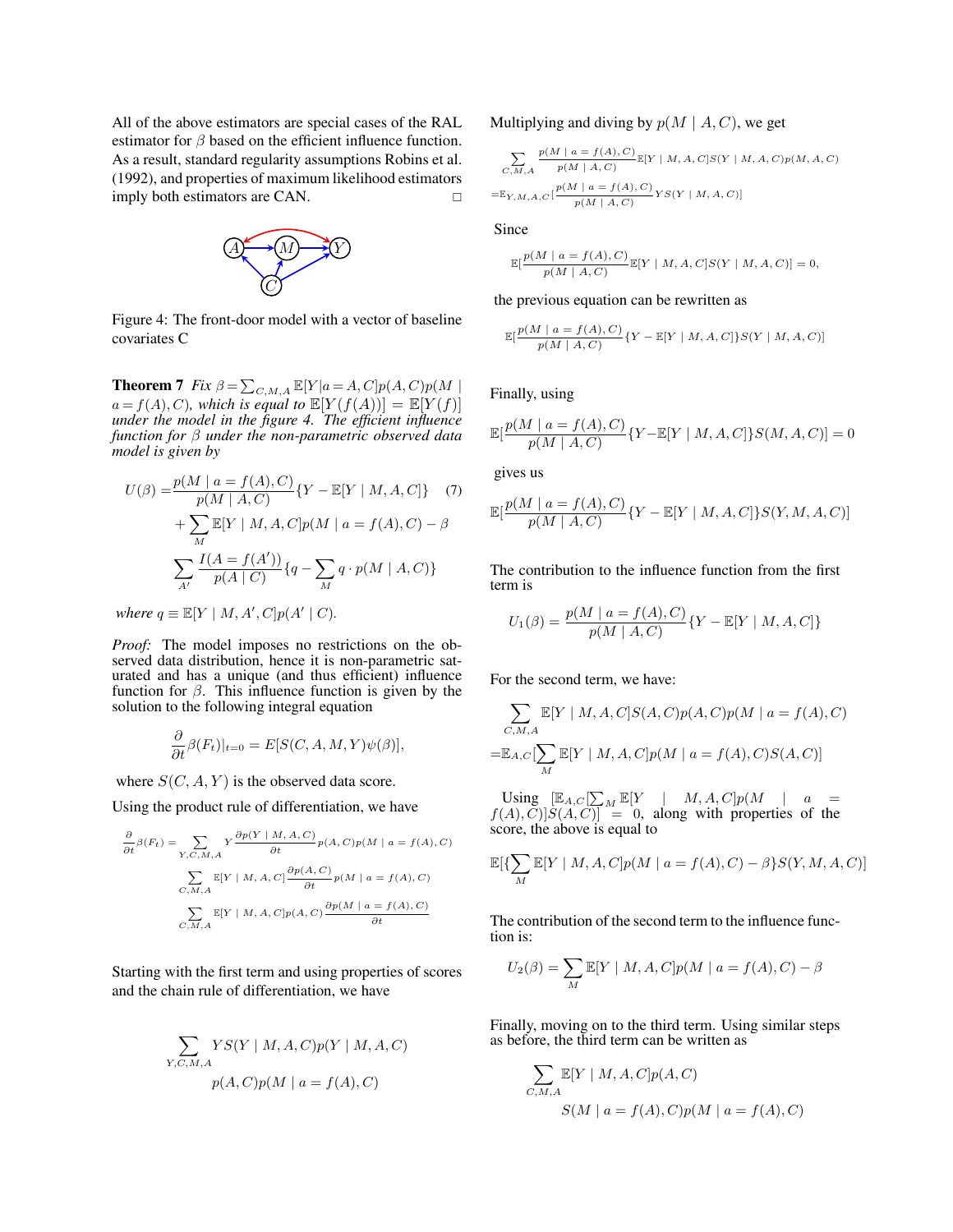All of the above estimators are special cases of the RAL estimator for  $\beta$  based on the efficient influence function. As a result, standard regularity assumptions Robins et al. (1992), and properties of maximum likelihood estimators imply both estimators are CAN.



Figure 4: The front-door model with a vector of baseline covariates C

**Theorem 7** *Fix*  $\beta = \sum_{C,M,A} \mathbb{E}[Y|a = A, C] p(A, C) p(M)$  $a = f(A), C$ *), which is equal to*  $\mathbb{E}[Y(f(A))] = \mathbb{E}[Y(f)]$ *under the model in the figure 4. The efficient influence function for* β *under the non-parametric observed data model is given by*

$$
U(\beta) = \frac{p(M \mid a = f(A), C)}{p(M \mid A, C)} \{Y - \mathbb{E}[Y \mid M, A, C]\} \quad (7)
$$

$$
+ \sum_{M} \mathbb{E}[Y \mid M, A, C] p(M \mid a = f(A), C) - \beta
$$

$$
\sum_{A'} \frac{I(A = f(A'))}{p(A \mid C)} \{q - \sum_{M} q \cdot p(M \mid A, C)\}
$$

*where*  $q \equiv \mathbb{E}[Y \mid M, A', C] p(A' \mid C)$ *.* 

*Proof:* The model imposes no restrictions on the observed data distribution, hence it is non-parametric saturated and has a unique (and thus efficient) influence function for  $\beta$ . This influence function is given by the solution to the following integral equation

$$
\frac{\partial}{\partial t}\beta(F_t)|_{t=0} = E[S(C, A, M, Y)\psi(\beta)],
$$

where  $S(C, A, Y)$  is the observed data score.

Using the product rule of differentiation, we have

$$
\frac{\partial}{\partial t}\beta(F_t) = \sum_{Y,C,M,A} Y \frac{\partial p(Y \mid M, A, C)}{\partial t} p(A, C) p(M \mid a = f(A), C)
$$

$$
\sum_{C,M,A} \mathbb{E}[Y \mid M, A, C] \frac{\partial p(A, C)}{\partial t} p(M \mid a = f(A), C)
$$

$$
\sum_{C,M,A} \mathbb{E}[Y \mid M, A, C] p(A, C) \frac{\partial p(M \mid a = f(A), C)}{\partial t}
$$

Starting with the first term and using properties of scores and the chain rule of differentiation, we have

$$
\sum_{Y,C,M,A} YS(Y \mid M, A, C)p(Y \mid M, A, C)
$$
  
 
$$
p(A, C)p(M \mid a = f(A), C)
$$

Multiplying and diving by  $p(M \mid A, C)$ , we get

$$
\sum_{C,M,A} \frac{p(M \mid a = f(A), C)}{p(M \mid A, C)} \mathbb{E}[Y \mid M, A, C] S(Y \mid M, A, C) p(M, A, C)
$$
  
=  $\mathbb{E}_{Y,M,A,C} [\frac{p(M \mid a = f(A), C)}{p(M \mid A, C)} Y S(Y \mid M, A, C)]$ 

Since

$$
\mathbb{E}[\frac{p(M \mid a=f(A), C)}{p(M \mid A, C)}\mathbb{E}[Y \mid M, A, C]S(Y \mid M, A, C)]=0,
$$

the previous equation can be rewritten as

$$
\mathbb{E}[\frac{p(M \mid a=f(A), C)}{p(M \mid A, C)} \{Y - \mathbb{E}[Y \mid M, A, C]\} S(Y \mid M, A, C)]
$$

Finally, using

$$
\mathbb{E}[\frac{p(M \mid a = f(A), C)}{p(M \mid A, C)} \{Y - \mathbb{E}[Y \mid M, A, C]\} S(M, A, C)] = 0
$$

gives us

$$
\mathbb{E}[\frac{p(M \mid a = f(A), C)}{p(M \mid A, C)} \{Y - \mathbb{E}[Y \mid M, A, C]\} S(Y, M, A, C)]
$$

The contribution to the influence function from the first term is

$$
U_1(\beta) = \frac{p(M \mid a = f(A), C)}{p(M \mid A, C)} \{Y - \mathbb{E}[Y \mid M, A, C]\}
$$

For the second term, we have:

$$
\sum_{C,M,A} \mathbb{E}[Y \mid M, A, C] S(A, C) p(A, C) p(M \mid a = f(A), C)
$$

$$
= \mathbb{E}_{A,C}[\sum_{M} \mathbb{E}[Y \mid M, A, C] p(M \mid a = f(A), C) S(A, C)]
$$

Using  $\left[\mathbb{E}_{A,C}[\sum_{M} \mathbb{E}[Y \mid M, A, C] p(M \mid a \right] =$  $f(A), C$ ] $S(A, C)$ ]  $\equiv$  0, along with properties of the score, the above is equal to

$$
\mathbb{E}[\{\sum_{M} \mathbb{E}[Y \mid M, A, C] p(M \mid a = f(A), C) - \beta\} S(Y, M, A, C)]
$$

The contribution of the second term to the influence function is:

$$
U_2(\beta) = \sum_{M} \mathbb{E}[Y \mid M, A, C] p(M \mid a = f(A), C) - \beta
$$

Finally, moving on to the third term. Using similar steps as before, the third term can be written as

$$
\sum_{C,M,A} \mathbb{E}[Y \mid M, A, C] p(A, C)
$$
  

$$
S(M \mid a = f(A), C) p(M \mid a = f(A), C)
$$